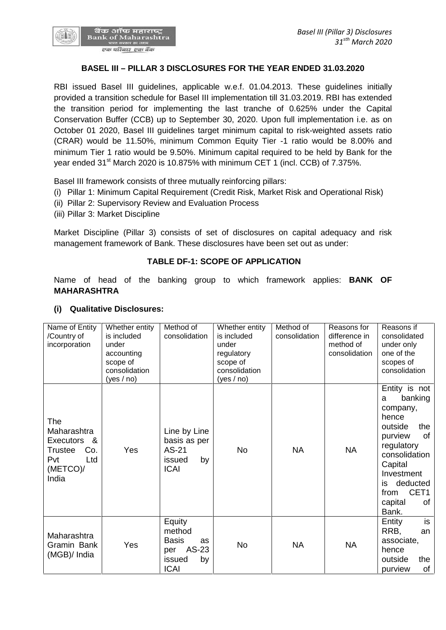

## **BASEL III – PILLAR 3 DISCLOSURES FOR THE YEAR ENDED 31.03.2020**

RBI issued Basel III guidelines, applicable w.e.f. 01.04.2013. These guidelines initially provided a transition schedule for Basel III implementation till 31.03.2019. RBI has extended the transition period for implementing the last tranche of 0.625% under the Capital Conservation Buffer (CCB) up to September 30, 2020. Upon full implementation i.e. as on October 01 2020, Basel III guidelines target minimum capital to risk-weighted assets ratio (CRAR) would be 11.50%, minimum Common Equity Tier -1 ratio would be 8.00% and minimum Tier 1 ratio would be 9.50%. Minimum capital required to be held by Bank for the year ended 31<sup>st</sup> March 2020 is 10.875% with minimum CET 1 (incl. CCB) of 7.375%.

Basel III framework consists of three mutually reinforcing pillars:

- (i) Pillar 1: Minimum Capital Requirement (Credit Risk, Market Risk and Operational Risk)
- (ii) Pillar 2: Supervisory Review and Evaluation Process
- (iii) Pillar 3: Market Discipline

Market Discipline (Pillar 3) consists of set of disclosures on capital adequacy and risk management framework of Bank. These disclosures have been set out as under:

## **TABLE DF-1: SCOPE OF APPLICATION**

Name of head of the banking group to which framework applies: **BANK OF MAHARASHTRA**

| Name of Entity<br>/Country of<br>incorporation                                                            | Whether entity<br>is included<br>under<br>accounting<br>scope of<br>consolidation<br>(yes / no) | Method of<br>consolidation                                                            | Whether entity<br>is included<br>under<br>regulatory<br>scope of<br>consolidation<br>(yes / no) | Method of<br>consolidation | Reasons for<br>difference in<br>method of<br>consolidation | Reasons if<br>consolidated<br>under only<br>one of the<br>scopes of<br>consolidation                                                                                                                      |
|-----------------------------------------------------------------------------------------------------------|-------------------------------------------------------------------------------------------------|---------------------------------------------------------------------------------------|-------------------------------------------------------------------------------------------------|----------------------------|------------------------------------------------------------|-----------------------------------------------------------------------------------------------------------------------------------------------------------------------------------------------------------|
| <b>The</b><br>Maharashtra<br>Executors<br>- &<br>Co.<br><b>Trustee</b><br>Pvt<br>Ltd<br>(METCO)/<br>India | Yes                                                                                             | Line by Line<br>basis as per<br>AS-21<br>by<br>issued<br><b>ICAI</b>                  | No                                                                                              | <b>NA</b>                  | <b>NA</b>                                                  | Entity is not<br>banking<br>a<br>company,<br>hence<br>the<br>outside<br>οf<br>purview<br>regulatory<br>consolidation<br>Capital<br>Investment<br>deducted<br>is<br>CET1<br>from<br>capital<br>0f<br>Bank. |
| Maharashtra<br>Gramin Bank<br>(MGB)/ India                                                                | Yes                                                                                             | Equity<br>method<br><b>Basis</b><br>as<br>AS-23<br>per<br>issued<br>by<br><b>ICAI</b> | No                                                                                              | <b>NA</b>                  | <b>NA</b>                                                  | is<br>Entity<br>RRB,<br>an<br>associate,<br>hence<br>outside<br>the<br>of<br>purview                                                                                                                      |

## **(i) Qualitative Disclosures:**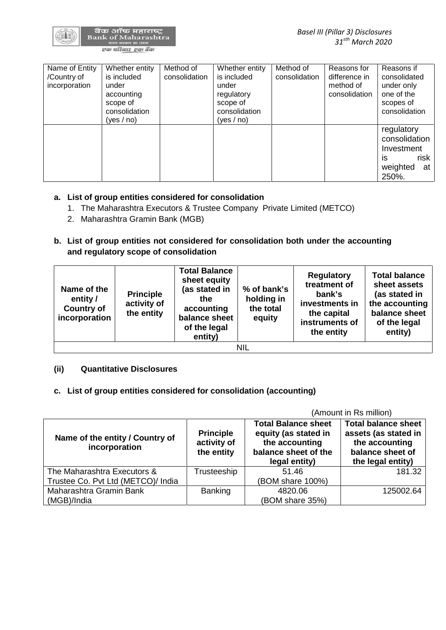| Name of Entity<br>/Country of<br>incorporation | Whether entity<br>is included<br>under<br>accounting<br>scope of<br>consolidation<br>(yes / no) | Method of<br>consolidation | Whether entity<br>is included<br>under<br>regulatory<br>scope of<br>consolidation<br>(yes / no) | Method of<br>consolidation | Reasons for<br>difference in<br>method of<br>consolidation | Reasons if<br>consolidated<br>under only<br>one of the<br>scopes of<br>consolidation |
|------------------------------------------------|-------------------------------------------------------------------------------------------------|----------------------------|-------------------------------------------------------------------------------------------------|----------------------------|------------------------------------------------------------|--------------------------------------------------------------------------------------|
|                                                |                                                                                                 |                            |                                                                                                 |                            |                                                            | regulatory<br>consolidation<br>Investment<br>risk<br>is<br>weighted<br>at<br>250%.   |

# **a. List of group entities considered for consolidation**

- 1. The Maharashtra Executors & Trustee Company Private Limited (METCO)
- 2. Maharashtra Gramin Bank (MGB)
- **b. List of group entities not considered for consolidation both under the accounting and regulatory scope of consolidation**

| Name of the<br>entity /<br><b>Country of</b><br>incorporation | <b>Principle</b><br>activity of<br>the entity | <b>Total Balance</b><br>sheet equity<br>(as stated in<br>the<br>accounting<br>balance sheet<br>of the legal<br>entity) | % of bank's<br>holding in<br>the total<br>equity | <b>Regulatory</b><br>treatment of<br>bank's<br>investments in<br>the capital<br>instruments of<br>the entity | <b>Total balance</b><br>sheet assets<br>(as stated in<br>the accounting<br>balance sheet<br>of the legal<br>entity) |
|---------------------------------------------------------------|-----------------------------------------------|------------------------------------------------------------------------------------------------------------------------|--------------------------------------------------|--------------------------------------------------------------------------------------------------------------|---------------------------------------------------------------------------------------------------------------------|
| NIL                                                           |                                               |                                                                                                                        |                                                  |                                                                                                              |                                                                                                                     |

## **(ii) Quantitative Disclosures**

# **c. List of group entities considered for consolidation (accounting)**

|                                                  |                                               |                                                                                                               | (Amount in Rs million)                                                                                        |
|--------------------------------------------------|-----------------------------------------------|---------------------------------------------------------------------------------------------------------------|---------------------------------------------------------------------------------------------------------------|
| Name of the entity / Country of<br>incorporation | <b>Principle</b><br>activity of<br>the entity | <b>Total Balance sheet</b><br>equity (as stated in<br>the accounting<br>balance sheet of the<br>legal entity) | <b>Total balance sheet</b><br>assets (as stated in<br>the accounting<br>balance sheet of<br>the legal entity) |
| The Maharashtra Executors &                      | Trusteeship                                   | 51.46                                                                                                         | 181.32                                                                                                        |
| Trustee Co. Pvt Ltd (METCO)/ India               |                                               | (BOM share 100%)                                                                                              |                                                                                                               |
| Maharashtra Gramin Bank                          | <b>Banking</b>                                | 4820.06                                                                                                       | 125002.64                                                                                                     |
| (MGB)/India                                      |                                               | (BOM share 35%)                                                                                               |                                                                                                               |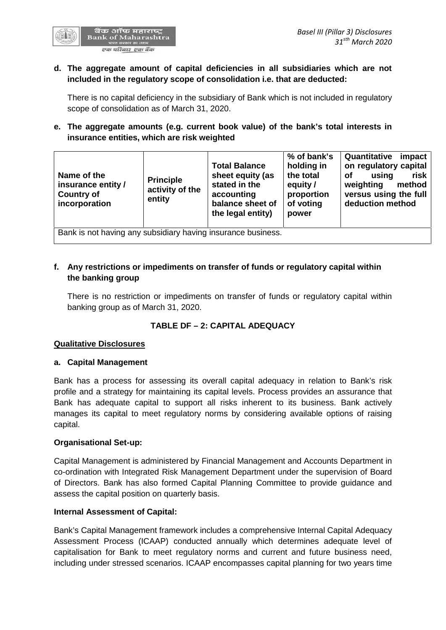

## **d. The aggregate amount of capital deficiencies in all subsidiaries which are not included in the regulatory scope of consolidation i.e. that are deducted:**

There is no capital deficiency in the subsidiary of Bank which is not included in regulatory scope of consolidation as of March 31, 2020.

# **e. The aggregate amounts (e.g. current book value) of the bank's total interests in insurance entities, which are risk weighted**

| Name of the<br><b>Principle</b><br>insurance entity /<br><b>Country of</b><br>entity<br>incorporation | <b>Total Balance</b><br>stated in the<br>activity of the<br>accounting | sheet equity (as<br>balance sheet of<br>the legal entity) | % of bank's<br>holding in<br>the total<br>equity /<br>proportion<br>of voting<br>power | Quantitative<br>on regulatory capital<br>using<br><b>of</b><br>weighting<br>versus using the full<br>deduction method | impact<br>risk<br>method |
|-------------------------------------------------------------------------------------------------------|------------------------------------------------------------------------|-----------------------------------------------------------|----------------------------------------------------------------------------------------|-----------------------------------------------------------------------------------------------------------------------|--------------------------|
| Bank is not having any subsidiary having insurance business.                                          |                                                                        |                                                           |                                                                                        |                                                                                                                       |                          |

# **f. Any restrictions or impediments on transfer of funds or regulatory capital within the banking group**

There is no restriction or impediments on transfer of funds or regulatory capital within banking group as of March 31, 2020.

# **TABLE DF – 2:CAPITAL ADEQUACY**

## **Qualitative Disclosures**

## **a. Capital Management**

Bank has a process for assessing its overall capital adequacy in relation to Bank's risk profile and a strategy for maintaining its capital levels. Process provides an assurance that Bank has adequate capital to support all risks inherent to its business. Bank actively manages its capital to meet regulatory norms by considering available options of raising capital.

## **Organisational Set-up:**

Capital Management is administered by Financial Management and Accounts Department in co-ordination with Integrated Risk Management Department under the supervision of Board of Directors. Bank has also formed Capital Planning Committee to provide guidance and assess the capital position on quarterly basis.

## **Internal Assessment of Capital:**

Bank's Capital Management framework includes a comprehensive Internal Capital Adequacy Assessment Process (ICAAP) conducted annually which determines adequate level of capitalisation for Bank to meet regulatory norms and current and future business need, including under stressed scenarios. ICAAP encompasses capital planning for two years time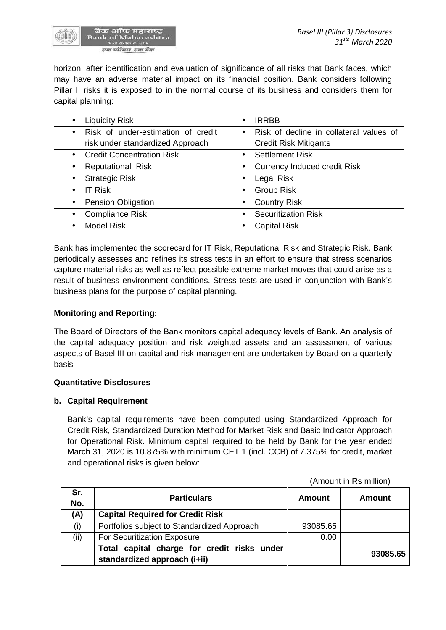

horizon, after identification and evaluation of significance of all risks that Bank faces, which may have an adverse material impact on its financial position. Bank considers following Pillar II risks it is exposed to in the normal course of its business and considers them for capital planning:

| <b>Liquidity Risk</b><br>$\bullet$              | <b>IRRBB</b><br>$\bullet$                            |
|-------------------------------------------------|------------------------------------------------------|
| Risk of under-estimation of credit<br>$\bullet$ | Risk of decline in collateral values of<br>$\bullet$ |
| risk under standardized Approach                | <b>Credit Risk Mitigants</b>                         |
| <b>Credit Concentration Risk</b><br>$\bullet$   | • Settlement Risk                                    |
| <b>Reputational Risk</b>                        | <b>Currency Induced credit Risk</b><br>$\bullet$     |
| <b>Strategic Risk</b><br>$\bullet$              | Legal Risk<br>$\bullet$                              |
| <b>IT Risk</b>                                  | <b>Group Risk</b><br>$\bullet$                       |
| <b>Pension Obligation</b>                       | <b>Country Risk</b><br>$\bullet$                     |
| <b>Compliance Risk</b>                          | <b>Securitization Risk</b><br>$\bullet$              |
| <b>Model Risk</b>                               | <b>Capital Risk</b>                                  |

Bank has implemented the scorecard for IT Risk, Reputational Risk and Strategic Risk. Bank periodically assesses and refines its stress tests in an effort to ensure that stress scenarios capture material risks as well as reflect possible extreme market moves that could arise as a result of business environment conditions. Stress tests are used in conjunction with Bank's business plans for the purpose of capital planning.

# **Monitoring and Reporting:**

The Board of Directors of the Bank monitors capital adequacy levels of Bank. An analysis of the capital adequacy position and risk weighted assets and an assessment of various aspects of Basel III on capital and risk management are undertaken by Board on a quarterly basis

## **Quantitative Disclosures**

## **b. Capital Requirement**

Bank's capital requirements have been computed using Standardized Approach for Credit Risk, Standardized Duration Method for Market Risk and Basic Indicator Approach for Operational Risk. Minimum capital required to be held by Bank for the year ended March 31, 2020 is 10.875% with minimum CET 1 (incl. CCB) of 7.375% for credit, market and operational risks is given below:

(Amount in Rs million)

| Sr.<br>No. | <b>Particulars</b>                                                          | Amount   | Amount   |
|------------|-----------------------------------------------------------------------------|----------|----------|
| (A)        | <b>Capital Required for Credit Risk</b>                                     |          |          |
| (i)        | Portfolios subject to Standardized Approach                                 | 93085.65 |          |
| (ii)       | For Securitization Exposure                                                 | 0.00     |          |
|            | Total capital charge for credit risks under<br>standardized approach (i+ii) |          | 93085.65 |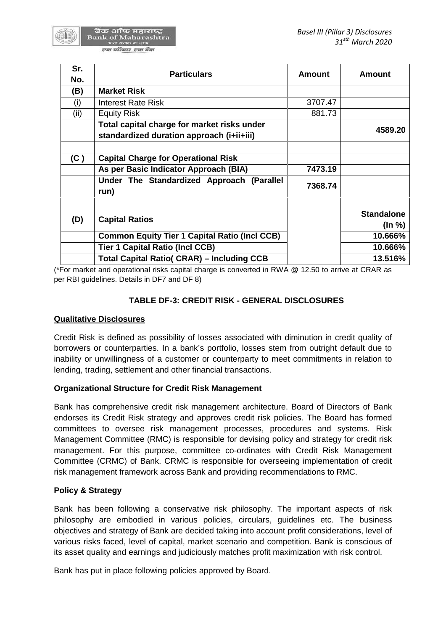| Sr.  | <b>Particulars</b>                                   | <b>Amount</b> | <b>Amount</b>     |
|------|------------------------------------------------------|---------------|-------------------|
| No.  |                                                      |               |                   |
| (B)  | <b>Market Risk</b>                                   |               |                   |
| (i)  | <b>Interest Rate Risk</b>                            | 3707.47       |                   |
| (ii) | <b>Equity Risk</b>                                   | 881.73        |                   |
|      | Total capital charge for market risks under          |               | 4589.20           |
|      | standardized duration approach (i+ii+iii)            |               |                   |
|      |                                                      |               |                   |
| (C)  | <b>Capital Charge for Operational Risk</b>           |               |                   |
|      | As per Basic Indicator Approach (BIA)                | 7473.19       |                   |
|      | Under The Standardized Approach (Parallel<br>run)    | 7368.74       |                   |
|      |                                                      |               | <b>Standalone</b> |
| (D)  | <b>Capital Ratios</b>                                |               | $($ ln %)         |
|      | <b>Common Equity Tier 1 Capital Ratio (Incl CCB)</b> |               | 10.666%           |
|      | <b>Tier 1 Capital Ratio (Incl CCB)</b>               |               | 10.666%           |
|      | <b>Total Capital Ratio( CRAR) – Including CCB</b>    |               | 13.516%           |

(\*For market and operational risks capital charge is converted in RWA @ 12.50 to arrive at CRAR as per RBI guidelines. Details in DF7 and DF 8)

# **TABLE DF-3: CREDIT RISK - GENERAL DISCLOSURES**

## **Qualitative Disclosures**

Credit Risk is defined as possibility of losses associated with diminution in credit quality of borrowers or counterparties. In a bank's portfolio, losses stem from outright default due to inability or unwillingness of a customer or counterparty to meet commitments in relation to lending, trading, settlement and other financial transactions.

# **Organizational Structure for Credit Risk Management**

Bank has comprehensive credit risk management architecture. Board of Directors of Bank endorses its Credit Risk strategy and approves credit risk policies. The Board has formed committees to oversee risk management processes, procedures and systems. Risk Management Committee (RMC) is responsible for devising policy and strategy for credit risk management. For this purpose, committee co-ordinates with Credit Risk Management Committee (CRMC) of Bank. CRMC is responsible for overseeing implementation of credit risk management framework across Bank and providing recommendations to RMC.

# **Policy & Strategy**

Bank has been following a conservative risk philosophy. The important aspects of risk philosophy are embodied in various policies, circulars, guidelines etc. The business objectives and strategy of Bank are decided taking into account profit considerations, level of various risks faced, level of capital, market scenario and competition. Bank is conscious of its asset quality and earnings and judiciously matches profit maximization with risk control.

Bank has put in place following policies approved by Board.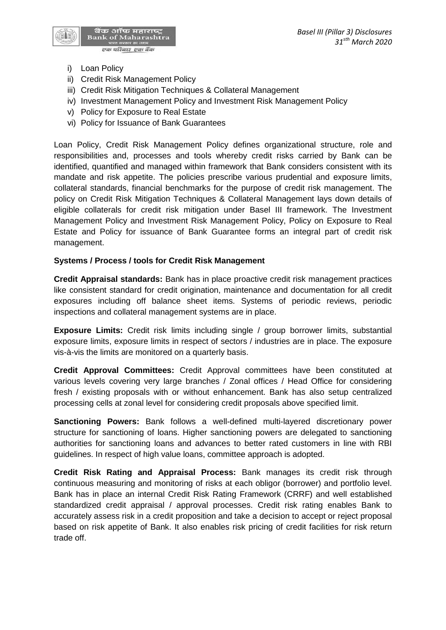

- i) Loan Policy
- ii) Credit Risk Management Policy
- iii) Credit Risk Mitigation Techniques & Collateral Management
- iv) Investment Management Policy and Investment Risk Management Policy
- v) Policy for Exposure to Real Estate
- vi) Policy for Issuance of Bank Guarantees

Loan Policy, Credit Risk Management Policy defines organizational structure, role and responsibilities and, processes and tools whereby credit risks carried by Bank can be identified, quantified and managed within framework that Bank considers consistent with its mandate and risk appetite. The policies prescribe various prudential and exposure limits, collateral standards, financial benchmarks for the purpose of credit risk management. The policy on Credit Risk Mitigation Techniques & Collateral Management lays down details of eligible collaterals for credit risk mitigation under Basel III framework. The Investment Management Policy and Investment Risk Management Policy, Policy on Exposure to Real Estate and Policy for issuance of Bank Guarantee forms an integral part of credit risk management.

## **Systems / Process / tools for Credit Risk Management**

**Credit Appraisal standards:** Bank has in place proactive credit risk management practices like consistent standard for credit origination, maintenance and documentation for all credit exposures including off balance sheet items. Systems of periodic reviews, periodic inspections and collateral management systems are in place.

**Exposure Limits:** Credit risk limits including single / group borrower limits, substantial exposure limits, exposure limits in respect of sectors / industries are in place. The exposure vis-à-vis the limits are monitored on a quarterly basis.

**Credit Approval Committees:** Credit Approval committees have been constituted at various levels covering very large branches / Zonal offices / Head Office for considering fresh / existing proposals with or without enhancement. Bank has also setup centralized processing cells at zonal level for considering credit proposals above specified limit.

**Sanctioning Powers:** Bank follows a well-defined multi-layered discretionary power structure for sanctioning of loans. Higher sanctioning powers are delegated to sanctioning authorities for sanctioning loans and advances to better rated customers in line with RBI guidelines. In respect of high value loans, committee approach is adopted.

**Credit Risk Rating and Appraisal Process:** Bank manages its credit risk through continuous measuring and monitoring of risks at each obligor (borrower) and portfolio level. Bank has in place an internal Credit Risk Rating Framework (CRRF) and well established standardized credit appraisal / approval processes. Credit risk rating enables Bank to accurately assess risk in a credit proposition and take a decision to accept or reject proposal based on risk appetite of Bank. It also enables risk pricing of credit facilities for risk return trade off.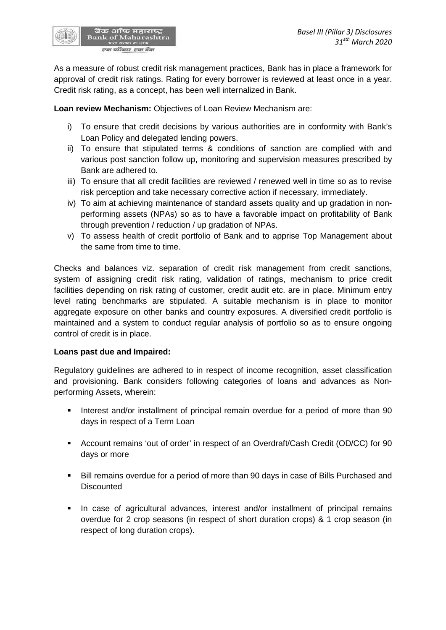As a measure of robust credit risk management practices, Bank has in place a framework for approval of credit risk ratings. Rating for every borrower is reviewed at least once in a year. Credit risk rating, as a concept, has been well internalized in Bank.

**Loan review Mechanism:** Objectives of Loan Review Mechanism are:

बैंक ऑफ महाराष्ट्र<br>Bank of Maharashtra एक परिवार एक बैंक

- i) To ensure that credit decisions by various authorities are in conformity with Bank's Loan Policy and delegated lending powers.
- ii) To ensure that stipulated terms & conditions of sanction are complied with and various post sanction follow up, monitoring and supervision measures prescribed by Bank are adhered to.
- iii) To ensure that all credit facilities are reviewed / renewed well in time so as to revise risk perception and take necessary corrective action if necessary, immediately.
- iv) To aim at achieving maintenance of standard assets quality and up gradation in non performing assets (NPAs) so as to have a favorable impact on profitability of Bank through prevention / reduction / up gradation of NPAs.
- v) To assess health of credit portfolio of Bank and to apprise Top Management about the same from time to time.

Checks and balances viz. separation of credit risk management from credit sanctions, system of assigning credit risk rating, validation of ratings, mechanism to price credit facilities depending on risk rating of customer, credit audit etc. are in place. Minimum entry level rating benchmarks are stipulated. A suitable mechanism is in place to monitor aggregate exposure on other banks and country exposures. A diversified credit portfolio is maintained and a system to conduct regular analysis of portfolio so as to ensure ongoing control of credit is in place.

## **Loans past due and Impaired:**

Regulatory guidelines are adhered to in respect of income recognition, asset classification and provisioning. Bank considers following categories of loans and advances as Non performing Assets, wherein:

- Interest and/or installment of principal remain overdue for a period of more than 90 days in respect of a Term Loan
- Account remains 'out of order' in respect of an Overdraft/Cash Credit (OD/CC) for 90 days or more
- Bill remains overdue for a period of more than 90 days in case of Bills Purchased and **Discounted**
- **In case of agricultural advances, interest and/or installment of principal remains** overdue for 2 crop seasons (in respect of short duration crops) & 1 crop season (in respect of long duration crops).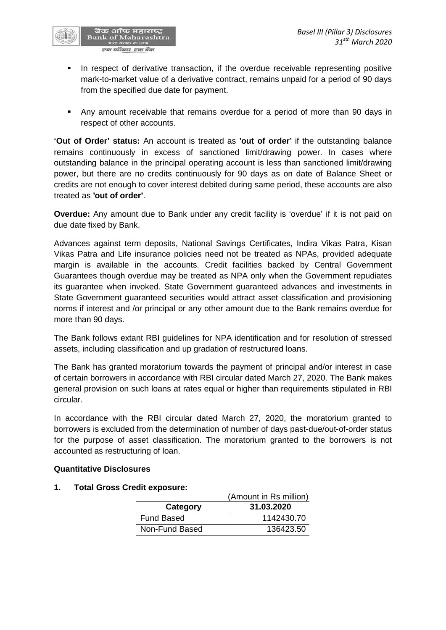

- **In respect of derivative transaction, if the overdue receivable representing positive** mark-to-market value of a derivative contract, remains unpaid for a period of 90 days from the specified due date for payment.
- Any amount receivable that remains overdue for a period of more than 90 days in respect of other accounts.

**'Out of Order' status:** An account is treated as **'out of order'** if the outstanding balance remains continuously in excess of sanctioned limit/drawing power. In cases where outstanding balance in the principal operating account is less than sanctioned limit/drawing power, but there are no credits continuously for 90 days as on date of Balance Sheet or credits are not enough to cover interest debited during same period, these accounts are also treated as **'out of order'**.

**Overdue:** Any amount due to Bank under any credit facility is 'overdue' if it is not paid on due date fixed by Bank.

Advances against term deposits, National Savings Certificates, Indira Vikas Patra, Kisan Vikas Patra and Life insurance policies need not be treated as NPAs, provided adequate margin is available in the accounts. Credit facilities backed by Central Government Guarantees though overdue may be treated as NPA only when the Government repudiates its guarantee when invoked. State Government guaranteed advances and investments in State Government guaranteed securities would attract asset classification and provisioning norms if interest and /or principal or any other amount due to the Bank remains overdue for more than 90 days.

The Bank follows extant RBI guidelines for NPA identification and for resolution of stressed assets, including classification and up gradation of restructured loans.

The Bank has granted moratorium towards the payment of principal and/or interest in case of certain borrowers in accordance with RBI circular dated March 27, 2020. The Bank makes general provision on such loans at rates equal or higher than requirements stipulated in RBI circular.

In accordance with the RBI circular dated March 27, 2020, the moratorium granted to borrowers is excluded from the determination of number of days past-due/out-of-order status for the purpose of asset classification. The moratorium granted to the borrowers is not accounted as restructuring of loan.

## **Quantitative Disclosures**

#### **1. Total Gross Credit exposure:**

|                   | (Amount in Rs million) |
|-------------------|------------------------|
| Category          | 31.03.2020             |
| <b>Fund Based</b> | 1142430.70             |
| Non-Fund Based    | 136423.50              |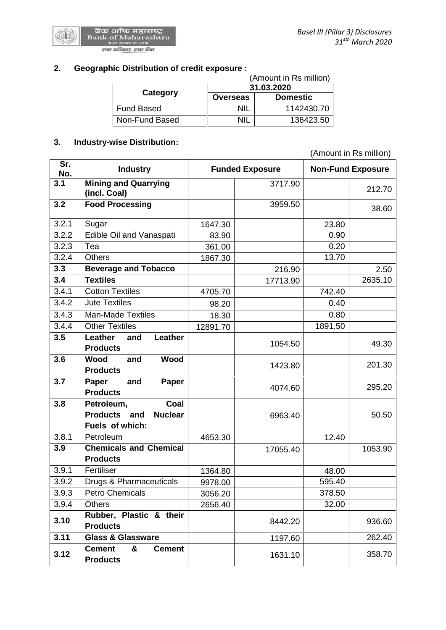

# **2. Geographic Distribution of credit exposure :**

|                   |                 | (Amount in Rs million) |
|-------------------|-----------------|------------------------|
|                   |                 | 31.03.2020             |
| Category          | <b>Overseas</b> | <b>Domestic</b>        |
| <b>Fund Based</b> | ΝIΙ             | 1142430.70             |
| Non-Fund Based    | NII             | 136423.50              |

# **3. Industry-wise Distribution:**

(Amount in Rs million)

| Sr.<br>No. | <b>Industry</b>                                                                |          | <b>Funded Exposure</b> | <b>Non-Fund Exposure</b> |         |
|------------|--------------------------------------------------------------------------------|----------|------------------------|--------------------------|---------|
| 3.1        | <b>Mining and Quarrying</b><br>(incl. Coal)                                    |          | 3717.90                |                          | 212.70  |
| 3.2        | <b>Food Processing</b>                                                         |          | 3959.50                |                          | 38.60   |
| 3.2.1      | Sugar                                                                          | 1647.30  |                        | 23.80                    |         |
| 3.2.2      | Edible Oil and Vanaspati                                                       | 83.90    |                        | 0.90                     |         |
| 3.2.3      | Tea                                                                            | 361.00   |                        | 0.20                     |         |
| 3.2.4      | <b>Others</b>                                                                  | 1867.30  |                        | 13.70                    |         |
| 3.3        | <b>Beverage and Tobacco</b>                                                    |          | 216.90                 |                          | 2.50    |
| 3.4        | <b>Textiles</b>                                                                |          | 17713.90               |                          | 2635.10 |
| 3.4.1      | <b>Cotton Textiles</b>                                                         | 4705.70  |                        | 742.40                   |         |
| 3.4.2      | <b>Jute Textiles</b>                                                           | 98.20    |                        | 0.40                     |         |
| 3.4.3      | <b>Man-Made Textiles</b>                                                       | 18.30    |                        | 0.80                     |         |
| 3.4.4      | <b>Other Textiles</b>                                                          | 12891.70 |                        | 1891.50                  |         |
| 3.5        | Leather<br>Leather<br>and<br><b>Products</b>                                   |          | 1054.50                |                          | 49.30   |
| 3.6        | Wood<br>Wood<br>and<br><b>Products</b>                                         |          | 1423.80                |                          | 201.30  |
| 3.7        | Paper<br>and<br>Paper<br><b>Products</b>                                       |          | 4074.60                |                          | 295.20  |
| 3.8        | Petroleum,<br>Coal<br>Products and<br><b>Nuclear</b><br><b>Fuels of which:</b> |          | 6963.40                |                          | 50.50   |
| 3.8.1      | Petroleum                                                                      | 4653.30  |                        | 12.40                    |         |
| 3.9        | <b>Chemicals and Chemical</b><br><b>Products</b>                               |          | 17055.40               |                          | 1053.90 |
| 3.9.1      | Fertiliser                                                                     | 1364.80  |                        | 48.00                    |         |
| 3.9.2      | Drugs & Pharmaceuticals                                                        | 9978.00  |                        | 595.40                   |         |
| 3.9.3      | <b>Petro Chemicals</b>                                                         | 3056.20  |                        | 378.50                   |         |
| 3.9.4      | <b>Others</b>                                                                  | 2656.40  |                        | 32.00                    |         |
| 3.10       | Rubber, Plastic & their<br><b>Products</b>                                     |          | 8442.20                |                          | 936.60  |
| 3.11       | <b>Glass &amp; Glassware</b>                                                   |          | 1197.60                |                          | 262.40  |
| 3.12       | &<br><b>Cement</b><br><b>Cement</b><br><b>Products</b>                         |          | 1631.10                |                          | 358.70  |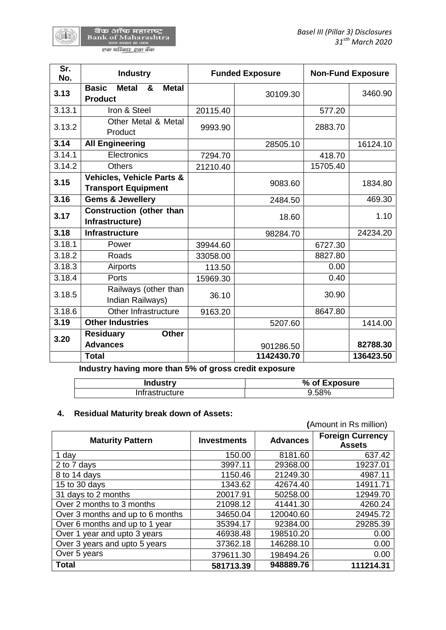| बैंक ऑफ महाराष्ट           |
|----------------------------|
| <b>Bank of Maharashtra</b> |
| भारत सरकार का उद्यम        |
| एक परिवार एक बैंक          |

| Sr.<br>No. | <b>Industry</b>                                                     |          | <b>Funded Exposure</b> |          | <b>Non-Fund Exposure</b> |
|------------|---------------------------------------------------------------------|----------|------------------------|----------|--------------------------|
| 3.13       | <b>Basic</b><br><b>Metal</b><br><b>Metal</b><br>&<br><b>Product</b> |          | 30109.30               |          | 3460.90                  |
| 3.13.1     | Iron & Steel                                                        | 20115.40 |                        | 577.20   |                          |
| 3.13.2     | Other Metal & Metal<br>Product                                      | 9993.90  |                        | 2883.70  |                          |
| 3.14       | <b>All Engineering</b>                                              |          | 28505.10               |          | 16124.10                 |
| 3.14.1     | Electronics                                                         | 7294.70  |                        | 418.70   |                          |
| 3.14.2     | <b>Others</b>                                                       | 21210.40 |                        | 15705.40 |                          |
| 3.15       | Vehicles, Vehicle Parts &<br><b>Transport Equipment</b>             |          | 9083.60                |          | 1834.80                  |
| 3.16       | <b>Gems &amp; Jewellery</b>                                         |          | 2484.50                |          | 469.30                   |
| 3.17       | <b>Construction (other than</b><br>Infrastructure)                  |          | 18.60                  |          | 1.10                     |
| 3.18       | <b>Infrastructure</b>                                               |          | 98284.70               |          | 24234.20                 |
| 3.18.1     | Power                                                               | 39944.60 |                        | 6727.30  |                          |
| 3.18.2     | Roads                                                               | 33058.00 |                        | 8827.80  |                          |
| 3.18.3     | Airports                                                            | 113.50   |                        | 0.00     |                          |
| 3.18.4     | Ports                                                               | 15969.30 |                        | 0.40     |                          |
| 3.18.5     | Railways (other than<br>Indian Railways)                            | 36.10    |                        | 30.90    |                          |
| 3.18.6     | Other Infrastructure                                                | 9163.20  |                        | 8647.80  |                          |
| 3.19       | <b>Other Industries</b>                                             |          | 5207.60                |          | 1414.00                  |
| 3.20       | <b>Residuary</b><br><b>Other</b><br><b>Advances</b>                 |          | 901286.50              |          | 82788.30                 |
|            | <b>Total</b>                                                        |          | 1142430.70             |          | 136423.50                |

**Industry having more than 5% of gross credit exposure**

| <b>Industry</b> | % of Exposure |
|-----------------|---------------|
| Infrastructure  | 9.58%         |

# **4. Residual Maturity break down of Assets:**

|                                  |                    |                 | (Amount in Rs million)                   |
|----------------------------------|--------------------|-----------------|------------------------------------------|
| <b>Maturity Pattern</b>          | <b>Investments</b> | <b>Advances</b> | <b>Foreign Currency</b><br><b>Assets</b> |
| 1 day                            | 150.00             | 8181.60         | 637.42                                   |
| 2 to 7 days                      | 3997.11            | 29368.00        | 19237.01                                 |
| 8 to 14 days                     | 1150.46            | 21249.30        | 4987.11                                  |
| 15 to 30 days                    | 1343.62            | 42674.40        | 14911.71                                 |
| 31 days to 2 months              | 20017.91           | 50258.00        | 12949.70                                 |
| Over 2 months to 3 months        | 21098.12           | 41441.30        | 4260.24                                  |
| Over 3 months and up to 6 months | 34650.04           | 120040.60       | 24945.72                                 |
| Over 6 months and up to 1 year   | 35394.17           | 92384.00        | 29285.39                                 |
| Over 1 year and upto 3 years     | 46938.48           | 198510.20       | 0.00                                     |
| Over 3 years and upto 5 years    | 37362.18           | 146288.10       | 0.00                                     |
| Over 5 years                     | 379611.30          | 198494.26       | 0.00                                     |
| <b>Total</b>                     | 581713.39          | 948889.76       | 111214.31                                |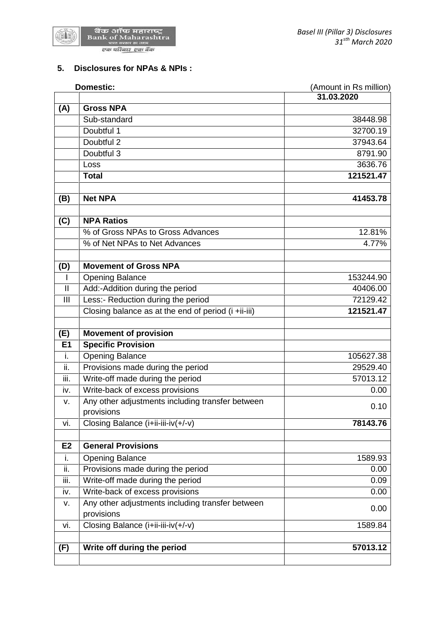

# **5. Disclosures for NPAs & NPIs :**

|                | <b>Domestic:</b><br>(Amount in Rs million)                     |            |
|----------------|----------------------------------------------------------------|------------|
|                |                                                                | 31.03.2020 |
| (A)            | <b>Gross NPA</b>                                               |            |
|                | Sub-standard                                                   | 38448.98   |
|                | Doubtful 1                                                     | 32700.19   |
|                | Doubtful 2                                                     | 37943.64   |
|                | Doubtful 3                                                     | 8791.90    |
|                | Loss                                                           | 3636.76    |
|                | <b>Total</b>                                                   | 121521.47  |
| (B)            | <b>Net NPA</b>                                                 | 41453.78   |
|                |                                                                |            |
| (C)            | <b>NPA Ratios</b>                                              |            |
|                | % of Gross NPAs to Gross Advances                              | 12.81%     |
|                | % of Net NPAs to Net Advances                                  | 4.77%      |
| (D)            | <b>Movement of Gross NPA</b>                                   |            |
| I.             | <b>Opening Balance</b>                                         | 153244.90  |
| $\mathbf{II}$  | Add:-Addition during the period                                | 40406.00   |
| Ш              | Less:- Reduction during the period                             | 72129.42   |
|                | Closing balance as at the end of period (i +ii-iii)            | 121521.47  |
| (E)            | <b>Movement of provision</b>                                   |            |
| E1             | <b>Specific Provision</b>                                      |            |
| i.             | <b>Opening Balance</b>                                         | 105627.38  |
| ii.            |                                                                | 29529.40   |
|                | Provisions made during the period                              |            |
| iii.           | Write-off made during the period                               | 57013.12   |
| iv.            | Write-back of excess provisions                                | 0.00       |
| v.             | Any other adjustments including transfer between<br>provisions | 0.10       |
| vi.            | Closing Balance (i+ii-iii-iv(+/-v)                             | 78143.76   |
| E <sub>2</sub> | <b>General Provisions</b>                                      |            |
| i.             | <b>Opening Balance</b>                                         | 1589.93    |
| ii.            | Provisions made during the period                              | 0.00       |
| iii.           | Write-off made during the period                               | 0.09       |
| iv.            | Write-back of excess provisions                                | 0.00       |
|                | Any other adjustments including transfer between               |            |
| V.             | provisions                                                     | 0.00       |
| vi.            | Closing Balance (i+ii-iii-iv(+/-v)                             | 1589.84    |
| (F)            | Write off during the period                                    | 57013.12   |
|                |                                                                |            |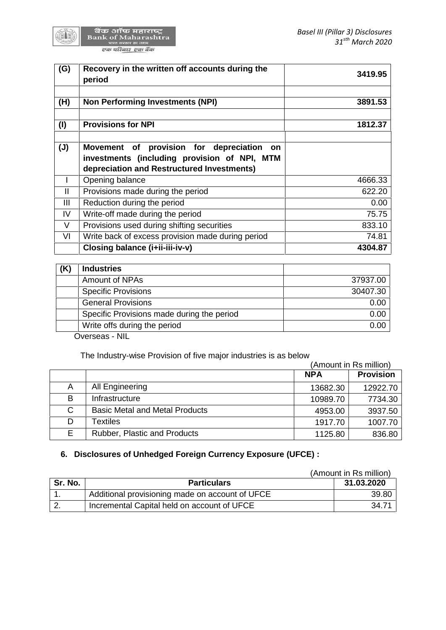

बैंक ऑफ महाराष्ट्र<br>Bank of Maharashtra<br>पास्त सरकार का जाम एक परिवार एक बैंक

| (G)            | Recovery in the written off accounts during the<br>period                                                                                  | 3419.95 |
|----------------|--------------------------------------------------------------------------------------------------------------------------------------------|---------|
| (H)            | <b>Non Performing Investments (NPI)</b>                                                                                                    | 3891.53 |
| (1)            | <b>Provisions for NPI</b>                                                                                                                  | 1812.37 |
| $(\mathsf{U})$ | Movement of provision for depreciation<br>on<br>investments (including provision of NPI, MTM<br>depreciation and Restructured Investments) |         |
| L              | Opening balance                                                                                                                            | 4666.33 |
| $\mathbf{H}$   | Provisions made during the period                                                                                                          | 622.20  |
| III            | Reduction during the period                                                                                                                | 0.00    |
| IV             | Write-off made during the period                                                                                                           | 75.75   |
| V              | Provisions used during shifting securities                                                                                                 | 833.10  |
| VI             | Write back of excess provision made during period                                                                                          | 74.81   |
|                | Closing balance (i+ii-iii-iv-v)                                                                                                            | 4304.87 |

| 37937.00 |
|----------|
|          |
| 30407.30 |
| 0.00     |
| 0.00     |
| 0.00     |
|          |

Overseas - NIL

The Industry-wise Provision of five major industries is as below

|    |                                       | (Amount in Rs million) |                  |
|----|---------------------------------------|------------------------|------------------|
|    |                                       | <b>NPA</b>             | <b>Provision</b> |
| A  | All Engineering                       | 13682.30               | 12922.70         |
| B  | Infrastructure                        | 10989.70               | 7734.30          |
| C  | <b>Basic Metal and Metal Products</b> | 4953.00                | 3937.50          |
| D  | Textiles                              | 1917.70                | 1007.70          |
| E. | <b>Rubber, Plastic and Products</b>   | 1125.80                | 836.80           |

# **6. Disclosures of Unhedged Foreign Currency Exposure (UFCE) :**

|         |                                                 | (Amount in Rs million) |
|---------|-------------------------------------------------|------------------------|
| Sr. No. | <b>Particulars</b>                              | 31.03.2020             |
| . .     | Additional provisioning made on account of UFCE | 39.80                  |
|         | Incremental Capital held on account of UFCE     | 34.71                  |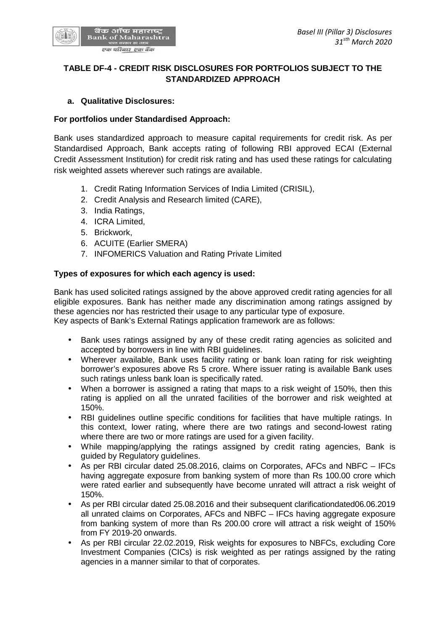

# **TABLE DF-4 - CREDIT RISK DISCLOSURES FOR PORTFOLIOS SUBJECT TO THE STANDARDIZED APPROACH**

## **a. Qualitative Disclosures:**

# **For portfolios under Standardised Approach:**

Bank uses standardized approach to measure capital requirements for credit risk. As per Standardised Approach, Bank accepts rating of following RBI approved ECAI (External Credit Assessment Institution) for credit risk rating and has used these ratings for calculating risk weighted assets wherever such ratings are available.

- 1. Credit Rating Information Services of India Limited (CRISIL),
- 2. Credit Analysis and Research limited (CARE),
- 3. India Ratings,
- 4. ICRA Limited,
- 5. Brickwork,
- 6. ACUITE (Earlier SMERA)
- 7. INFOMERICS Valuation and Rating Private Limited

## **Types of exposures for which each agency is used:**

Bank has used solicited ratings assigned by the above approved credit rating agencies for all eligible exposures. Bank has neither made any discrimination among ratings assigned by these agencies nor has restricted their usage to any particular type of exposure. Key aspects of Bank's External Ratings application framework are as follows:

- Bank uses ratings assigned by any of these credit rating agencies as solicited and accepted by borrowers in line with RBI guidelines.
- Wherever available, Bank uses facility rating or bank loan rating for risk weighting borrower's exposures above Rs 5 crore. Where issuer rating is available Bank uses such ratings unless bank loan is specifically rated.
- When a borrower is assigned a rating that maps to a risk weight of 150%, then this rating is applied on all the unrated facilities of the borrower and risk weighted at 150%.
- RBI guidelines outline specific conditions for facilities that have multiple ratings. In this context, lower rating, where there are two ratings and second-lowest rating where there are two or more ratings are used for a given facility.
- While mapping/applying the ratings assigned by credit rating agencies, Bank is guided by Regulatory guidelines.
- As per RBI circular dated 25.08.2016, claims on Corporates, AFCs and NBFC IFCs having aggregate exposure from banking system of more than Rs 100.00 crore which were rated earlier and subsequently have become unrated will attract a risk weight of 150%.
- As per RBI circular dated 25.08.2016 and their subsequent clarificationdated06.06.2019 all unrated claims on Corporates, AFCs and NBFC – IFCs having aggregate exposure from banking system of more than Rs 200.00 crore will attract a risk weight of 150% from FY 2019-20 onwards.
- As per RBI circular 22.02.2019, Risk weights for exposures to NBFCs, excluding Core Investment Companies (CICs) is risk weighted as per ratings assigned by the rating agencies in a manner similar to that of corporates.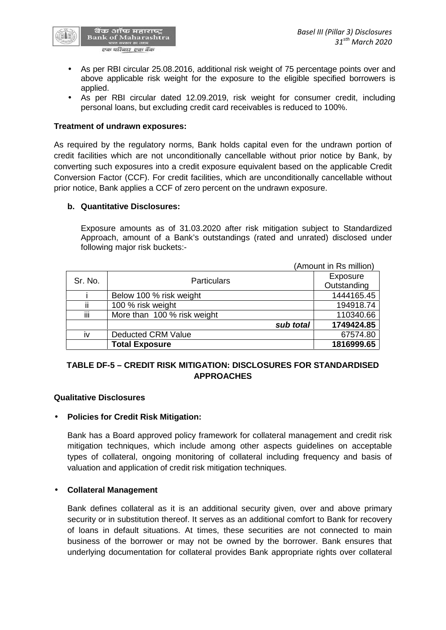

- As per RBI circular 25.08.2016, additional risk weight of 75 percentage points over and above applicable risk weight for the exposure to the eligible specified borrowers is applied.
- As per RBI circular dated 12.09.2019, risk weight for consumer credit, including personal loans, but excluding credit card receivables is reduced to 100%.

### **Treatment of undrawn exposures:**

As required by the regulatory norms, Bank holds capital even for the undrawn portion of credit facilities which are not unconditionally cancellable without prior notice by Bank, by converting such exposures into a credit exposure equivalent based on the applicable Credit Conversion Factor (CCF). For credit facilities, which are unconditionally cancellable without prior notice, Bank applies a CCF of zero percent on the undrawn exposure.

### **b. Quantitative Disclosures:**

Exposure amounts as of 31.03.2020 after risk mitigation subject to Standardized Approach, amount of a Bank's outstandings (rated and unrated) disclosed under following major risk buckets:-

|         |                             | (Amount in Rs million) |
|---------|-----------------------------|------------------------|
| Sr. No. | <b>Particulars</b>          | Exposure               |
|         |                             | Outstanding            |
|         | Below 100 % risk weight     | 1444165.45             |
| ii      | 100 % risk weight           | 194918.74              |
| iii     | More than 100 % risk weight | 110340.66              |
|         | sub total                   | 1749424.85             |
| iv      | <b>Deducted CRM Value</b>   | 67574.80               |
|         | <b>Total Exposure</b>       | 1816999.65             |

# **TABLE DF-5 – CREDIT RISK MITIGATION: DISCLOSURES FOR STANDARDISED APPROACHES**

#### **Qualitative Disclosures**

## **Policies for Credit Risk Mitigation:**

Bank has a Board approved policy framework for collateral management and credit risk mitigation techniques, which include among other aspects guidelines on acceptable types of collateral, ongoing monitoring of collateral including frequency and basis of valuation and application of credit risk mitigation techniques.

## **Collateral Management**

Bank defines collateral as it is an additional security given, over and above primary security or in substitution thereof. It serves as an additional comfort to Bank for recovery of loans in default situations. At times, these securities are not connected to main business of the borrower or may not be owned by the borrower. Bank ensures that underlying documentation for collateral provides Bank appropriate rights over collateral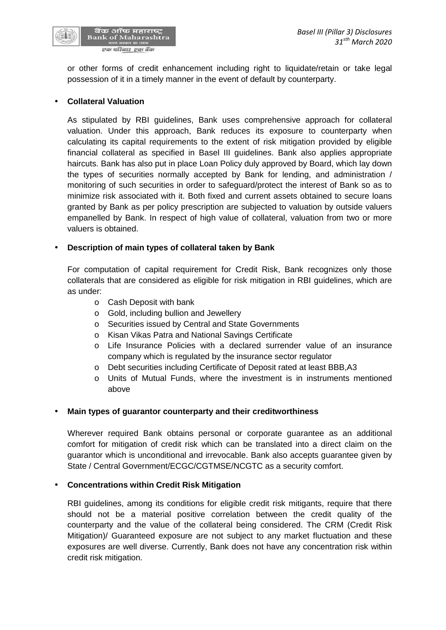

or other forms of credit enhancement including right to liquidate/retain or take legal possession of it in a timely manner in the event of default by counterparty.

## **Collateral Valuation**

As stipulated by RBI guidelines, Bank uses comprehensive approach for collateral valuation. Under this approach, Bank reduces its exposure to counterparty when calculating its capital requirements to the extent of risk mitigation provided by eligible financial collateral as specified in Basel III guidelines. Bank also applies appropriate haircuts. Bank has also put in place Loan Policy duly approved by Board, which lay down the types of securities normally accepted by Bank for lending, and administration / monitoring of such securities in order to safeguard/protect the interest of Bank so as to minimize risk associated with it. Both fixed and current assets obtained to secure loans granted by Bank as per policy prescription are subjected to valuation by outside valuers empanelled by Bank. In respect of high value of collateral, valuation from two or more valuers is obtained.

# **Description of main types of collateral taken by Bank**

For computation of capital requirement for Credit Risk, Bank recognizes only those collaterals that are considered as eligible for risk mitigation in RBI guidelines, which are as under:

- o Cash Deposit with bank
- o Gold, including bullion and Jewellery
- o Securities issued by Central and State Governments
- o Kisan Vikas Patra and National Savings Certificate
- o Life Insurance Policies with a declared surrender value of an insurance company which is regulated by the insurance sector regulator
- o Debt securities including Certificate of Deposit rated at least BBB,A3
- o Units of Mutual Funds, where the investment is in instruments mentioned above

## **Main types of guarantor counterparty and their creditworthiness**

Wherever required Bank obtains personal or corporate guarantee as an additional comfort for mitigation of credit risk which can be translated into a direct claim on the guarantor which is unconditional and irrevocable. Bank also accepts guarantee given by State / Central Government/ECGC/CGTMSE/NCGTC as a security comfort.

## **Concentrations within Credit Risk Mitigation**

RBI guidelines, among its conditions for eligible credit risk mitigants, require that there should not be a material positive correlation between the credit quality of the counterparty and the value of the collateral being considered. The CRM (Credit Risk Mitigation)/ Guaranteed exposure are not subject to any market fluctuation and these exposures are well diverse. Currently, Bank does not have any concentration risk within credit risk mitigation.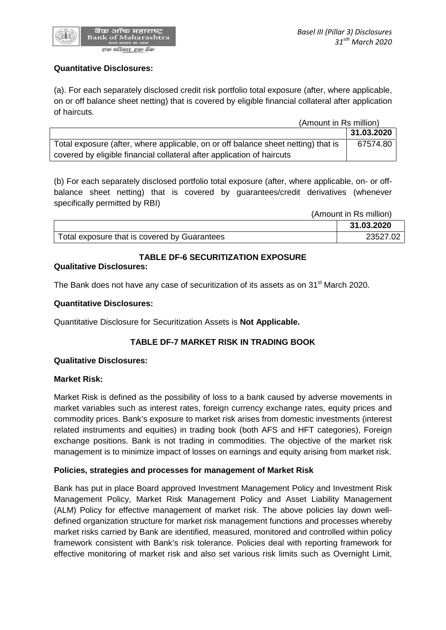

## **Quantitative Disclosures:**

(a). For each separately disclosed credit risk portfolio total exposure (after, where applicable, on or off balance sheet netting) that is covered by eligible financial collateral after application of haircuts.

(Amount in Rs million)

| $\frac{1}{2}$                                                                     |            |
|-----------------------------------------------------------------------------------|------------|
|                                                                                   | 31.03.2020 |
| Total exposure (after, where applicable, on or off balance sheet netting) that is | 67574.80   |
| covered by eligible financial collateral after application of haircuts            |            |

(b) For each separately disclosed portfolio total exposure (after, where applicable, on- or off balance sheet netting) that is covered by guarantees/credit derivatives (whenever specifically permitted by RBI)

|                                              | (Amount in Rs million) |
|----------------------------------------------|------------------------|
|                                              | 31.03.2020             |
| Total exposure that is covered by Guarantees | 23527.02               |

## **TABLE DF-6 SECURITIZATION EXPOSURE**

#### **Qualitative Disclosures:**

The Bank does not have any case of securitization of its assets as on 31<sup>st</sup> March 2020.

### **Quantitative Disclosures:**

Quantitative Disclosure for Securitization Assets is **Not Applicable.**

## **TABLE DF-7 MARKET RISK IN TRADING BOOK**

#### **Qualitative Disclosures:**

#### **Market Risk:**

Market Risk is defined as the possibility of loss to a bank caused by adverse movements in market variables such as interest rates, foreign currency exchange rates, equity prices and commodity prices. Bank's exposure to market risk arises from domestic investments (interest related instruments and equities) in trading book (both AFS and HFT categories), Foreign exchange positions. Bank is not trading in commodities. The objective of the market risk management is to minimize impact of losses on earnings and equity arising from market risk.

## **Policies, strategies and processes for management of Market Risk**

Bank has put in place Board approved Investment Management Policy and Investment Risk Management Policy, Market Risk Management Policy and Asset Liability Management (ALM) Policy for effective management of market risk. The above policies lay down well defined organization structure for market risk management functions and processes whereby market risks carried by Bank are identified, measured, monitored and controlled within policy framework consistent with Bank's risk tolerance. Policies deal with reporting framework for effective monitoring of market risk and also set various risk limits such as Overnight Limit,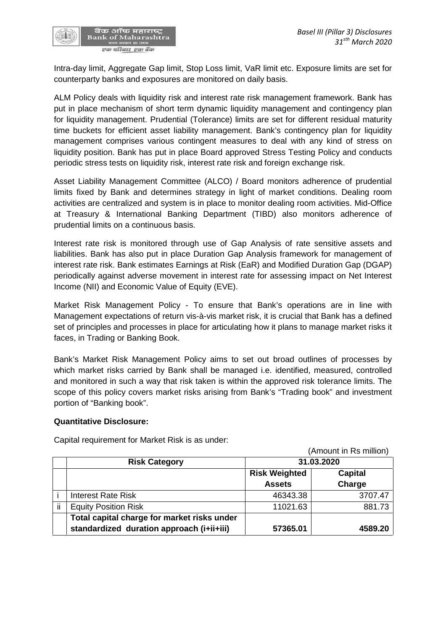

Intra-day limit, Aggregate Gap limit, Stop Loss limit, VaR limit etc. Exposure limits are set for counterparty banks and exposures are monitored on daily basis.

ALM Policy deals with liquidity risk and interest rate risk management framework. Bank has put in place mechanism of short term dynamic liquidity management and contingency plan for liquidity management. Prudential (Tolerance) limits are set for different residual maturity time buckets for efficient asset liability management. Bank's contingency plan for liquidity management comprises various contingent measures to deal with any kind of stress on liquidity position. Bank has put in place Board approved Stress Testing Policy and conducts periodic stress tests on liquidity risk, interest rate risk and foreign exchange risk.

Asset Liability Management Committee (ALCO) / Board monitors adherence of prudential limits fixed by Bank and determines strategy in light of market conditions. Dealing room activities are centralized and system is in place to monitor dealing room activities. Mid-Office at Treasury & International Banking Department (TIBD) also monitors adherence of prudential limits on a continuous basis.

Interest rate risk is monitored through use of Gap Analysis of rate sensitive assets and liabilities. Bank has also put in place Duration Gap Analysis framework for management of interest rate risk. Bank estimates Earnings at Risk (EaR) and Modified Duration Gap (DGAP) periodically against adverse movement in interest rate for assessing impact on Net Interest Income (NII) and Economic Value of Equity (EVE).

Market Risk Management Policy - To ensure that Bank's operations are in line with Management expectations of return vis-à-vis market risk, it is crucial that Bank has a defined set of principles and processes in place for articulating how it plans to manage market risks it faces, in Trading or Banking Book.

Bank's Market Risk Management Policy aims to set out broad outlines of processes by which market risks carried by Bank shall be managed i.e. identified, measured, controlled and monitored in such a way that risk taken is within the approved risk tolerance limits. The scope of this policy covers market risks arising from Bank's "Trading book" and investment portion of "Banking book".

## **Quantitative Disclosure:**

(Amount in Rs million) **Risk Category 31.03.2020 Risk Weighted Assets Capital Charge** i Interest Rate Risk 46343.38 3707.47 ii Equity Position Risk  $\overline{\phantom{0}}$  11021.63 881.73 **Total capital charge for market risks under standardized duration approach (i+ii+iii) 57365.01 4589.20**

Capital requirement for Market Risk is as under: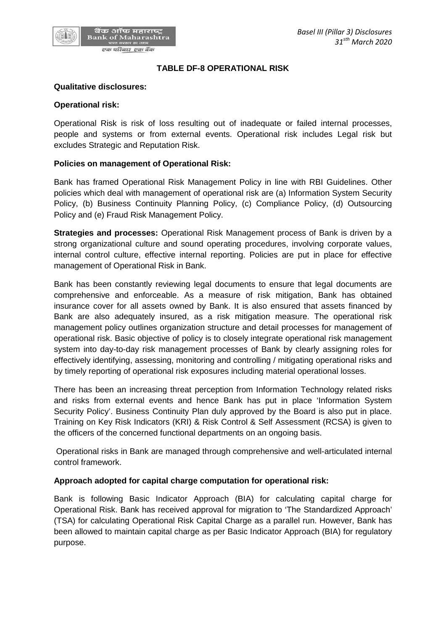## **TABLE DF-8 OPERATIONAL RISK**

#### **Qualitative disclosures:**

ं बैंक ऑफ महाराष्ट्र<br>Bank of Maharashtra

एक परिवार एक बैंक

#### **Operational risk:**

Operational Risk is risk of loss resulting out of inadequate or failed internal processes, people and systems or from external events. Operational risk includes Legal risk but excludes Strategic and Reputation Risk.

#### **Policies on management of Operational Risk:**

Bank has framed Operational Risk Management Policy in line with RBI Guidelines. Other policies which deal with management of operational risk are (a) Information System Security Policy, (b) Business Continuity Planning Policy, (c) Compliance Policy, (d) Outsourcing Policy and (e) Fraud Risk Management Policy.

**Strategies and processes:** Operational Risk Management process of Bank is driven by a strong organizational culture and sound operating procedures, involving corporate values, internal control culture, effective internal reporting. Policies are put in place for effective management of Operational Risk in Bank.

Bank has been constantly reviewing legal documents to ensure that legal documents are comprehensive and enforceable. As a measure of risk mitigation, Bank has obtained insurance cover for all assets owned by Bank. It is also ensured that assets financed by Bank are also adequately insured, as a risk mitigation measure. The operational risk management policy outlines organization structure and detail processes for management of operational risk. Basic objective of policy is to closely integrate operational risk management system into day-to-day risk management processes of Bank by clearly assigning roles for effectively identifying, assessing, monitoring and controlling / mitigating operational risks and by timely reporting of operational risk exposures including material operational losses.

There has been an increasing threat perception from Information Technology related risks and risks from external events and hence Bank has put in place 'Information System Security Policy'. Business Continuity Plan duly approved by the Board is also put in place. Training on Key Risk Indicators (KRI) & Risk Control & Self Assessment (RCSA) is given to the officers of the concerned functional departments on an ongoing basis.

Operational risks in Bank are managed through comprehensive and well-articulated internal control framework.

#### **Approach adopted for capital charge computation for operational risk:**

Bank is following Basic Indicator Approach (BIA) for calculating capital charge for Operational Risk. Bank has received approval for migration to 'The Standardized Approach' (TSA) for calculating Operational Risk Capital Charge as a parallel run. However, Bank has been allowed to maintain capital charge as per Basic Indicator Approach (BIA) for regulatory purpose.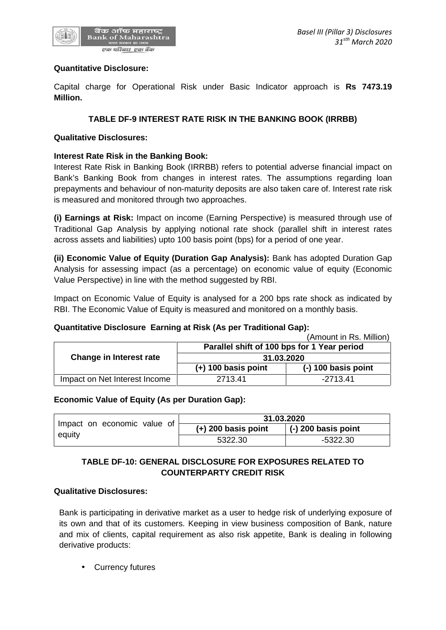

## **Quantitative Disclosure:**

Capital charge for Operational Risk under Basic Indicator approach is **Rs 7473.19 Million.**

## **TABLE DF-9 INTEREST RATE RISK IN THE BANKING BOOK (IRRBB)**

### **Qualitative Disclosures:**

## **Interest Rate Risk in the Banking Book:**

Interest Rate Risk in Banking Book (IRRBB) refers to potential adverse financial impact on Bank's Banking Book from changes in interest rates. The assumptions regarding loan prepayments and behaviour of non-maturity deposits are also taken care of. Interest rate risk is measured and monitored through two approaches.

**(i) Earnings at Risk:** Impact on income (Earning Perspective) is measured through use of Traditional Gap Analysis by applying notional rate shock (parallel shift in interest rates across assets and liabilities) upto 100 basis point (bps) for a period of one year.

**(ii) Economic Value of Equity (Duration Gap Analysis):** Bank has adopted Duration Gap Analysis for assessing impact (as a percentage) on economic value of equity (Economic Value Perspective) in line with the method suggested by RBI.

Impact on Economic Value of Equity is analysed for a 200 bps rate shock as indicated by RBI. The Economic Value of Equity is measured and monitored on a monthly basis.

## **Quantitative Disclosure Earning at Risk (As per Traditional Gap):**

|                               |                                             | (Amount in Rs. Million) |  |
|-------------------------------|---------------------------------------------|-------------------------|--|
|                               | Parallel shift of 100 bps for 1 Year period |                         |  |
| Change in Interest rate       | 31.03.2020                                  |                         |  |
|                               | $(+)$ 100 basis point                       | $(-)$ 100 basis point   |  |
| Impact on Net Interest Income | 2713.41                                     | $-2713.41$              |  |

#### **Economic Value of Equity (As per Duration Gap):**

|                             | 31.03.2020            |                             |
|-----------------------------|-----------------------|-----------------------------|
| Impact on economic value of | $(+)$ 200 basis point | $\vert$ (-) 200 basis point |
| equity                      | 5322.30               | -5322.30                    |

# **TABLE DF-10: GENERAL DISCLOSURE FOR EXPOSURES RELATED TO COUNTERPARTY CREDIT RISK**

### **Qualitative Disclosures:**

Bank is participating in derivative market as a user to hedge risk of underlying exposure of its own and that of its customers. Keeping in view business composition of Bank, nature and mix of clients, capital requirement as also risk appetite, Bank is dealing in following derivative products:

Currency futures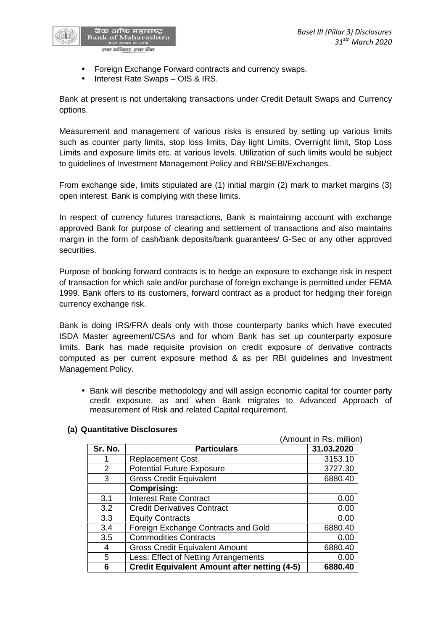

- Foreign Exchange Forward contracts and currency swaps.
- Interest Rate Swaps OIS & IRS.

Bank at present is not undertaking transactions under Credit Default Swaps and Currency options.

Measurement and management of various risks is ensured by setting up various limits such as counter party limits, stop loss limits, Day light Limits, Overnight limit, Stop Loss Limits and exposure limits etc. at various levels. Utilization of such limits would be subject to guidelines of Investment Management Policy and RBI/SEBI/Exchanges.

From exchange side, limits stipulated are (1) initial margin (2) mark to market margins (3) open interest. Bank is complying with these limits.

In respect of currency futures transactions, Bank is maintaining account with exchange approved Bank for purpose of clearing and settlement of transactions and also maintains margin in the form of cash/bank deposits/bank guarantees/ G-Sec or any other approved securities.

Purpose of booking forward contracts is to hedge an exposure to exchange risk in respect of transaction for which sale and/or purchase of foreign exchange is permitted under FEMA 1999. Bank offers to its customers, forward contract as a product for hedging their foreign currency exchange risk.

Bank is doing IRS/FRA deals only with those counterparty banks which have executed ISDA Master agreement/CSAs and for whom Bank has set up counterparty exposure limits. Bank has made requisite provision on credit exposure of derivative contracts computed as per current exposure method & as per RBI guidelines and Investment Management Policy.

 Bank will describe methodology and will assign economic capital for counter party credit exposure, as and when Bank migrates to Advanced Approach of measurement of Risk and related Capital requirement.

|         |                                                     | (Amount in Rs. million) |
|---------|-----------------------------------------------------|-------------------------|
| Sr. No. | <b>Particulars</b>                                  | 31.03.2020              |
|         | <b>Replacement Cost</b>                             | 3153.10                 |
| 2       | <b>Potential Future Exposure</b>                    | 3727.30                 |
| 3       | <b>Gross Credit Equivalent</b>                      | 6880.40                 |
|         | <b>Comprising:</b>                                  |                         |
| 3.1     | <b>Interest Rate Contract</b>                       | 0.00                    |
| 3.2     | <b>Credit Derivatives Contract</b>                  | 0.00                    |
| 3.3     | <b>Equity Contracts</b>                             | 0.00                    |
| 3.4     | Foreign Exchange Contracts and Gold                 | 6880.40                 |
| 3.5     | <b>Commodities Contracts</b>                        | 0.00                    |
| 4       | <b>Gross Credit Equivalent Amount</b>               | 6880.40                 |
| 5       | Less: Effect of Netting Arrangements                | 0.00                    |
| 6       | <b>Credit Equivalent Amount after netting (4-5)</b> | 6880.40                 |

## **(a) Quantitative Disclosures**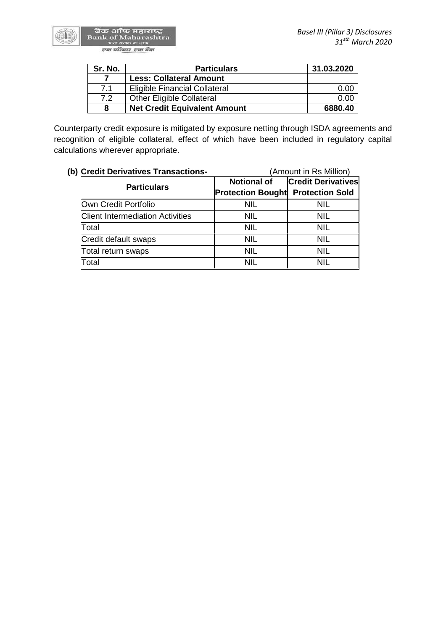बैंक ऑफ महाराष्ट्र<br>Bank of Maharashtra<br>पास्त सरकार का जवम एक परिवार एक बैंक

**Sele** 

| Sr. No. | <b>Particulars</b>                   | 31.03.2020 |
|---------|--------------------------------------|------------|
|         | <b>Less: Collateral Amount</b>       |            |
| 7.1     | <b>Eligible Financial Collateral</b> | 0.00       |
| 7.2     | <b>Other Eligible Collateral</b>     | 0.00       |
| 8       | <b>Net Credit Equivalent Amount</b>  | 6880.40    |

Counterparty credit exposure is mitigated by exposure netting through ISDA agreements and recognition of eligible collateral, effect of which have been included in regulatory capital calculations wherever appropriate.

| (b) Credit Derivatives Transactions-    | (Amount in Rs Million)                   |                           |  |
|-----------------------------------------|------------------------------------------|---------------------------|--|
| <b>Particulars</b>                      | <b>Notional of</b>                       | <b>Credit Derivatives</b> |  |
|                                         | <b>Protection Bought Protection Sold</b> |                           |  |
| Own Credit Portfolio                    | <b>NIL</b>                               | NIL                       |  |
| <b>Client Intermediation Activities</b> | <b>NIL</b>                               | <b>NIL</b>                |  |
| Total                                   | <b>NIL</b>                               | <b>NIL</b>                |  |
| Credit default swaps                    | <b>NIL</b>                               | <b>NIL</b>                |  |
| Total return swaps                      | <b>NIL</b>                               | <b>NIL</b>                |  |
| Total                                   | <b>NIL</b>                               | <b>NIL</b>                |  |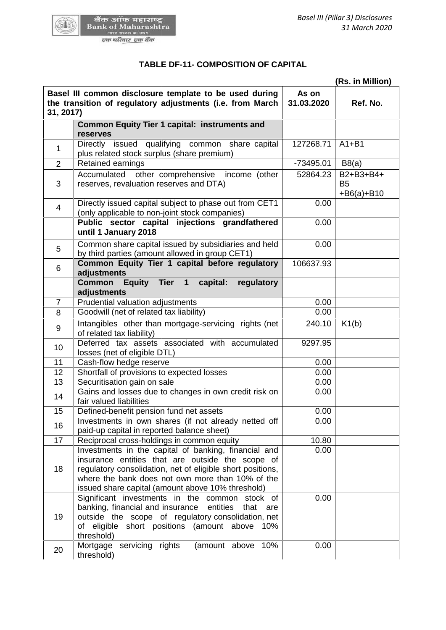

GA 5

# **TABLE DF-11- COMPOSITION OF CAPITAL**

|                |                                                                                                                                                                                                                                                                                 | (Rs. in Million)    |                                           |  |
|----------------|---------------------------------------------------------------------------------------------------------------------------------------------------------------------------------------------------------------------------------------------------------------------------------|---------------------|-------------------------------------------|--|
| 31, 2017)      | Basel III common disclosure template to be used during<br>the transition of regulatory adjustments (i.e. from March                                                                                                                                                             | As on<br>31.03.2020 | Ref. No.                                  |  |
|                | <b>Common Equity Tier 1 capital: instruments and</b><br>reserves                                                                                                                                                                                                                |                     |                                           |  |
| $\mathbf 1$    | Directly issued qualifying common share capital<br>plus related stock surplus (share premium)                                                                                                                                                                                   | 127268.71           | $A1 + B1$                                 |  |
| $\overline{2}$ | Retained earnings                                                                                                                                                                                                                                                               | -73495.01           | B8(a)                                     |  |
| 3              | Accumulated other comprehensive income (other<br>reserves, revaluation reserves and DTA)                                                                                                                                                                                        | 52864.23            | B2+B3+B4+<br><b>B5</b><br>$+ B6(a) + B10$ |  |
| 4              | Directly issued capital subject to phase out from CET1<br>(only applicable to non-joint stock companies)<br>Public sector capital injections grandfathered<br>until 1 January 2018                                                                                              | 0.00<br>0.00        |                                           |  |
| 5              | Common share capital issued by subsidiaries and held<br>by third parties (amount allowed in group CET1)                                                                                                                                                                         | 0.00                |                                           |  |
| 6              | Common Equity Tier 1 capital before regulatory<br>adjustments                                                                                                                                                                                                                   | 106637.93           |                                           |  |
|                | Common Equity Tier 1<br>capital:<br>regulatory<br>adjustments                                                                                                                                                                                                                   |                     |                                           |  |
| $\overline{7}$ | Prudential valuation adjustments                                                                                                                                                                                                                                                | 0.00                |                                           |  |
| 8              | Goodwill (net of related tax liability)                                                                                                                                                                                                                                         | 0.00                |                                           |  |
| 9              | Intangibles other than mortgage-servicing rights (net<br>of related tax liability)                                                                                                                                                                                              | 240.10              | K1(b)                                     |  |
| 10             | Deferred tax assets associated with accumulated<br>losses (net of eligible DTL)                                                                                                                                                                                                 | 9297.95             |                                           |  |
| 11             | Cash-flow hedge reserve                                                                                                                                                                                                                                                         | 0.00                |                                           |  |
| 12             | Shortfall of provisions to expected losses                                                                                                                                                                                                                                      | 0.00                |                                           |  |
| 13             | Securitisation gain on sale                                                                                                                                                                                                                                                     | 0.00                |                                           |  |
| 14             | Gains and losses due to changes in own credit risk on<br>fair valued liabilities                                                                                                                                                                                                | 0.00                |                                           |  |
| 15             | Defined-benefit pension fund net assets                                                                                                                                                                                                                                         | 0.00                |                                           |  |
| 16             | Investments in own shares (if not already netted off<br>paid-up capital in reported balance sheet)                                                                                                                                                                              | 0.00                |                                           |  |
| 17             | Reciprocal cross-holdings in common equity                                                                                                                                                                                                                                      | 10.80               |                                           |  |
| 18             | Investments in the capital of banking, financial and<br>insurance entities that are outside the scope of<br>regulatory consolidation, net of eligible short positions,<br>where the bank does not own more than 10% of the<br>issued share capital (amount above 10% threshold) | 0.00                |                                           |  |
| 19             | Significant investments in the common stock of<br>banking, financial and insurance entities that<br>are<br>outside the scope of regulatory consolidation, net<br>of eligible short positions (amount above<br>10%<br>threshold)                                                 | 0.00                |                                           |  |
| 20             | Mortgage servicing rights<br>10%<br>(amount above<br>threshold)                                                                                                                                                                                                                 | 0.00                |                                           |  |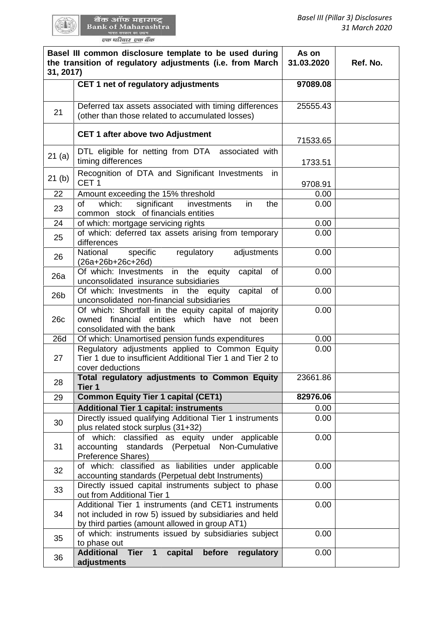|                 | CET 1 net of regulatory adjustments                                                                                                                             | 97089.08 |  |
|-----------------|-----------------------------------------------------------------------------------------------------------------------------------------------------------------|----------|--|
|                 |                                                                                                                                                                 |          |  |
| 21              | Deferred tax assets associated with timing differences<br>(other than those related to accumulated losses)                                                      | 25555.43 |  |
|                 | CET 1 after above two Adjustment                                                                                                                                | 71533.65 |  |
| 21(a)           | DTL eligible for netting from DTA associated with<br>timing differences                                                                                         | 1733.51  |  |
| 21(b)           | Recognition of DTA and Significant Investments<br>in<br>CET <sub>1</sub>                                                                                        | 9708.91  |  |
| 22              | Amount exceeding the 15% threshold                                                                                                                              | 0.00     |  |
| of<br>23        | significant<br>which:<br>investments<br>in<br>the<br>common stock of financials entities                                                                        | 0.00     |  |
| 24              | of which: mortgage servicing rights                                                                                                                             | 0.00     |  |
| 25              | of which: deferred tax assets arising from temporary<br>differences                                                                                             | 0.00     |  |
| 26              | National<br>specific<br>regulatory<br>adjustments<br>(26a+26b+26c+26d)                                                                                          | 0.00     |  |
| 26a             | Of which: Investments in the equity<br>capital<br>of<br>unconsolidated insurance subsidiaries                                                                   | 0.00     |  |
| 26 <sub>b</sub> | Of which: Investments in<br>the<br>capital<br><b>of</b><br>equity<br>unconsolidated non-financial subsidiaries                                                  | 0.00     |  |
| 26c             | Of which: Shortfall in the equity capital of majority<br>financial<br>entities<br>which<br>have<br>owned<br>not<br>been<br>consolidated with the bank           | 0.00     |  |
| 26d             | Of which: Unamortised pension funds expenditures                                                                                                                | 0.00     |  |
| 27              | Regulatory adjustments applied to Common Equity<br>Tier 1 due to insufficient Additional Tier 1 and Tier 2 to<br>cover deductions                               | 0.00     |  |
| 28<br>Tier 1    | Total regulatory adjustments to Common Equity                                                                                                                   | 23661.86 |  |
| 29              | <b>Common Equity Tier 1 capital (CET1)</b>                                                                                                                      | 82976.06 |  |
|                 | <b>Additional Tier 1 capital: instruments</b>                                                                                                                   | 0.00     |  |
| 30              | Directly issued qualifying Additional Tier 1 instruments<br>plus related stock surplus (31+32)                                                                  | 0.00     |  |
| 31              | of which: classified as equity under applicable<br>accounting standards (Perpetual Non-Cumulative<br>Preference Shares)                                         | 0.00     |  |
| 32              | of which: classified as liabilities under applicable<br>accounting standards (Perpetual debt Instruments)                                                       | 0.00     |  |
| 33              | Directly issued capital instruments subject to phase<br>out from Additional Tier 1                                                                              | 0.00     |  |
| 34              | Additional Tier 1 instruments (and CET1 instruments<br>not included in row 5) issued by subsidiaries and held<br>by third parties (amount allowed in group AT1) | 0.00     |  |
| 35              | of which: instruments issued by subsidiaries subject<br>to phase out                                                                                            | 0.00     |  |
| 36              | <b>Additional Tier</b><br>$\mathbf{1}$<br>capital<br>before<br>regulatory<br>adjustments                                                                        | 0.00     |  |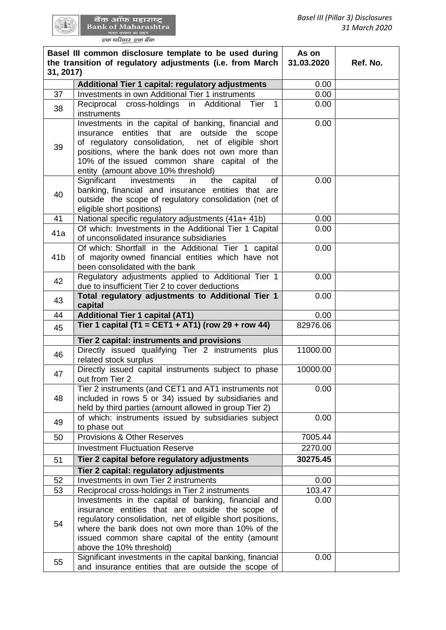| 31, 2017)       | Basel III common disclosure template to be used during<br>the transition of regulatory adjustments (i.e. from March                                                                                                                                                                                                                                                                                                                                                                   | As on<br>31.03.2020 | Ref. No. |
|-----------------|---------------------------------------------------------------------------------------------------------------------------------------------------------------------------------------------------------------------------------------------------------------------------------------------------------------------------------------------------------------------------------------------------------------------------------------------------------------------------------------|---------------------|----------|
|                 | Additional Tier 1 capital: regulatory adjustments                                                                                                                                                                                                                                                                                                                                                                                                                                     | 0.00                |          |
| 37              | Investments in own Additional Tier 1 instruments                                                                                                                                                                                                                                                                                                                                                                                                                                      | 0.00                |          |
| 38              | Reciprocal cross-holdings in Additional<br>$\overline{1}$<br>Tier<br>instruments                                                                                                                                                                                                                                                                                                                                                                                                      | 0.00                |          |
| 39<br>40        | Investments in the capital of banking, financial and<br>insurance entities that are outside the scope<br>of regulatory consolidation,<br>net of eligible short<br>positions, where the bank does not own more than<br>10% of the issued common share capital of the<br>entity (amount above 10% threshold)<br>of<br>Significant<br>investments<br>the<br>in<br>capital<br>banking, financial and insurance entities that are<br>outside the scope of regulatory consolidation (net of | 0.00<br>0.00        |          |
|                 | eligible short positions)                                                                                                                                                                                                                                                                                                                                                                                                                                                             |                     |          |
| 41              | National specific regulatory adjustments (41a+ 41b)                                                                                                                                                                                                                                                                                                                                                                                                                                   | 0.00                |          |
| 41a             | Of which: Investments in the Additional Tier 1 Capital<br>of unconsolidated insurance subsidiaries                                                                                                                                                                                                                                                                                                                                                                                    | 0.00                |          |
| 41 <sub>b</sub> | Of which: Shortfall in the Additional Tier 1 capital<br>of majority owned financial entities which have not<br>been consolidated with the bank                                                                                                                                                                                                                                                                                                                                        | 0.00                |          |
| 42              | Regulatory adjustments applied to Additional Tier 1<br>due to insufficient Tier 2 to cover deductions                                                                                                                                                                                                                                                                                                                                                                                 | 0.00                |          |
| 43              | Total regulatory adjustments to Additional Tier 1<br>capital                                                                                                                                                                                                                                                                                                                                                                                                                          | 0.00                |          |
| 44              | <b>Additional Tier 1 capital (AT1)</b>                                                                                                                                                                                                                                                                                                                                                                                                                                                | 0.00                |          |
| 45              | Tier 1 capital (T1 = CET1 + AT1) (row 29 + row 44)                                                                                                                                                                                                                                                                                                                                                                                                                                    | 82976.06            |          |
|                 | Tier 2 capital: instruments and provisions                                                                                                                                                                                                                                                                                                                                                                                                                                            |                     |          |
| 46              | Directly issued qualifying Tier 2 instruments plus<br>related stock surplus                                                                                                                                                                                                                                                                                                                                                                                                           | 11000.00            |          |
| 47              | Directly issued capital instruments subject to phase<br>out from Tier 2                                                                                                                                                                                                                                                                                                                                                                                                               | 10000.00            |          |
| 48              | Tier 2 instruments (and CET1 and AT1 instruments not<br>included in rows 5 or 34) issued by subsidiaries and                                                                                                                                                                                                                                                                                                                                                                          | 0.00                |          |
| 49              | held by third parties (amount allowed in group Tier 2)<br>of which: instruments issued by subsidiaries subject                                                                                                                                                                                                                                                                                                                                                                        | 0.00                |          |
|                 | to phase out<br><b>Provisions &amp; Other Reserves</b>                                                                                                                                                                                                                                                                                                                                                                                                                                | 7005.44             |          |
| 50              | <b>Investment Fluctuation Reserve</b>                                                                                                                                                                                                                                                                                                                                                                                                                                                 | 2270.00             |          |
| 51              | Tier 2 capital before regulatory adjustments                                                                                                                                                                                                                                                                                                                                                                                                                                          | 30275.45            |          |
|                 | Tier 2 capital: regulatory adjustments                                                                                                                                                                                                                                                                                                                                                                                                                                                |                     |          |
| 52              | Investments in own Tier 2 instruments                                                                                                                                                                                                                                                                                                                                                                                                                                                 | 0.00                |          |
| 53              | Reciprocal cross-holdings in Tier 2 instruments                                                                                                                                                                                                                                                                                                                                                                                                                                       | 103.47              |          |
| 54              | Investments in the capital of banking, financial and<br>insurance entities that are outside the scope of<br>regulatory consolidation, net of eligible short positions,<br>where the bank does not own more than 10% of the<br>issued common share capital of the entity (amount<br>above the 10% threshold)                                                                                                                                                                           | 0.00                |          |
| 55              | Significant investments in the capital banking, financial<br>and insurance entities that are outside the scope of                                                                                                                                                                                                                                                                                                                                                                     | 0.00                |          |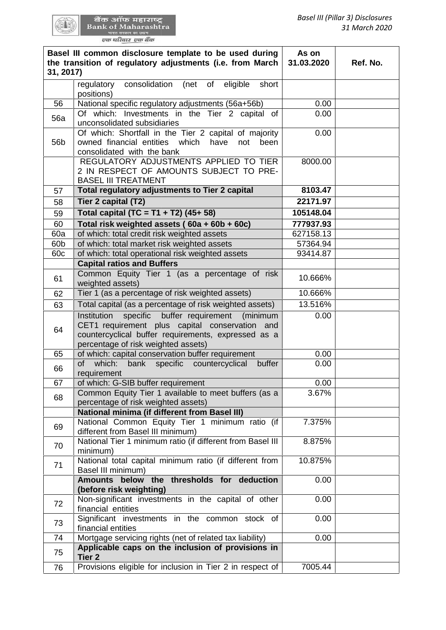量图

| 31, 2017)       | Basel III common disclosure template to be used during<br>the transition of regulatory adjustments (i.e. from March                                                                                          | As on<br>31.03.2020 | Ref. No. |
|-----------------|--------------------------------------------------------------------------------------------------------------------------------------------------------------------------------------------------------------|---------------------|----------|
|                 | consolidation<br>eligible<br>short<br>(net<br>of<br>regulatory<br>positions)                                                                                                                                 |                     |          |
| 56              | National specific regulatory adjustments (56a+56b)                                                                                                                                                           | 0.00                |          |
| 56a             | Of which: Investments in the Tier 2 capital of<br>unconsolidated subsidiaries                                                                                                                                | 0.00                |          |
| 56b             | Of which: Shortfall in the Tier 2 capital of majority<br>owned financial entities<br>which<br>have<br>not<br>been<br>consolidated with the bank                                                              | 0.00                |          |
|                 | REGULATORY ADJUSTMENTS APPLIED TO TIER<br>2 IN RESPECT OF AMOUNTS SUBJECT TO PRE-<br><b>BASEL III TREATMENT</b>                                                                                              | 8000.00             |          |
| 57              | Total regulatory adjustments to Tier 2 capital                                                                                                                                                               | 8103.47             |          |
| 58              | Tier 2 capital (T2)                                                                                                                                                                                          | 22171.97            |          |
| 59              | Total capital (TC = T1 + T2) (45+ 58)                                                                                                                                                                        | 105148.04           |          |
| 60              | Total risk weighted assets (60a + 60b + 60c)                                                                                                                                                                 | 777937.93           |          |
| 60a             | of which: total credit risk weighted assets                                                                                                                                                                  | 627158.13           |          |
| 60 <sub>b</sub> | of which: total market risk weighted assets                                                                                                                                                                  | 57364.94            |          |
| 60c             | of which: total operational risk weighted assets                                                                                                                                                             | 93414.87            |          |
|                 | <b>Capital ratios and Buffers</b>                                                                                                                                                                            |                     |          |
| 61              | Common Equity Tier 1 (as a percentage of risk<br>weighted assets)                                                                                                                                            | 10.666%             |          |
| 62              | Tier 1 (as a percentage of risk weighted assets)                                                                                                                                                             | 10.666%             |          |
|                 |                                                                                                                                                                                                              |                     |          |
| 63              | Total capital (as a percentage of risk weighted assets)                                                                                                                                                      | 13.516%             |          |
| 64              | Institution<br>specific<br>buffer requirement<br>(minimum<br>CET1 requirement plus capital conservation<br>and<br>countercyclical buffer requirements, expressed as a<br>percentage of risk weighted assets) | 0.00                |          |
| 65              | of which: capital conservation buffer requirement                                                                                                                                                            | 0.00                |          |
| 66              | bank specific countercyclical<br>of<br>which:<br>buffer<br>requirement                                                                                                                                       | 0.00                |          |
| 67              | of which: G-SIB buffer requirement                                                                                                                                                                           | 0.00                |          |
| 68              | Common Equity Tier 1 available to meet buffers (as a<br>percentage of risk weighted assets)                                                                                                                  | 3.67%               |          |
|                 | <b>National minima (if different from Basel III)</b>                                                                                                                                                         |                     |          |
| 69              | National Common Equity Tier 1 minimum ratio (if<br>different from Basel III minimum)                                                                                                                         | 7.375%              |          |
| 70              | National Tier 1 minimum ratio (if different from Basel III<br>minimum)                                                                                                                                       | 8.875%              |          |
| 71              | National total capital minimum ratio (if different from<br>Basel III minimum)                                                                                                                                | 10.875%             |          |
|                 | Amounts below the thresholds for deduction<br>(before risk weighting)                                                                                                                                        | 0.00                |          |
| 72              | Non-significant investments in the capital of other<br>financial entities                                                                                                                                    | 0.00                |          |
| 73              | Significant investments in the common stock of<br>financial entities                                                                                                                                         | 0.00                |          |
| 74              | Mortgage servicing rights (net of related tax liability)                                                                                                                                                     | 0.00                |          |
| 75              | Applicable caps on the inclusion of provisions in<br>Tier <sub>2</sub>                                                                                                                                       |                     |          |
| 76              | Provisions eligible for inclusion in Tier 2 in respect of                                                                                                                                                    | 7005.44             |          |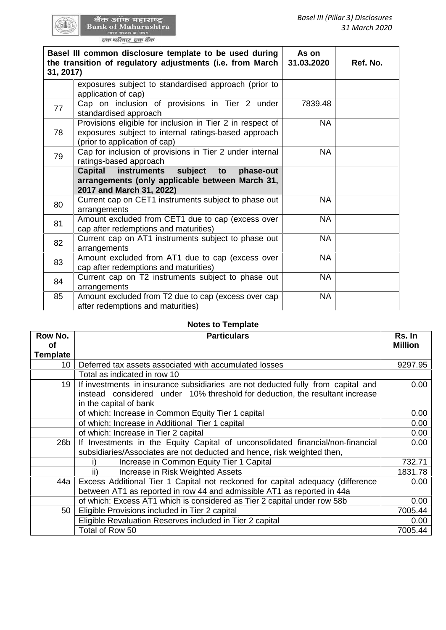|           | Basel III (Pillar 3) Disclosures<br>बैंक ऑफ महाराष्ट्र<br><b>Bank of Maharashtra</b><br>31 March 2020<br>एक परिवार एक बैंक<br>Basel III common disclosure template to be used during<br>As on<br>the transition of regulatory adjustments (i.e. from March<br>31.03.2020<br>Ref. No.<br>exposures subject to standardised approach (prior to<br>application of cap)<br>Cap on inclusion of provisions in Tier 2 under<br>7839.48<br>standardised approach<br>Provisions eligible for inclusion in Tier 2 in respect of<br><b>NA</b><br>exposures subject to internal ratings-based approach<br>(prior to application of cap)<br>Cap for inclusion of provisions in Tier 2 under internal<br><b>NA</b><br>ratings-based approach<br><b>Capital</b><br><b>instruments</b><br>subject<br>to<br>phase-out<br>arrangements (only applicable between March 31,<br>2017 and March 31, 2022)<br>Current cap on CET1 instruments subject to phase out<br><b>NA</b><br>arrangements<br>Amount excluded from CET1 due to cap (excess over<br><b>NA</b><br>cap after redemptions and maturities)<br>Current cap on AT1 instruments subject to phase out<br><b>NA</b><br>arrangements<br>Amount excluded from AT1 due to cap (excess over<br><b>NA</b><br>cap after redemptions and maturities)<br>Current cap on T2 instruments subject to phase out<br><b>NA</b><br>arrangements |           |  |
|-----------|-----------------------------------------------------------------------------------------------------------------------------------------------------------------------------------------------------------------------------------------------------------------------------------------------------------------------------------------------------------------------------------------------------------------------------------------------------------------------------------------------------------------------------------------------------------------------------------------------------------------------------------------------------------------------------------------------------------------------------------------------------------------------------------------------------------------------------------------------------------------------------------------------------------------------------------------------------------------------------------------------------------------------------------------------------------------------------------------------------------------------------------------------------------------------------------------------------------------------------------------------------------------------------------------------------------------------------------------------------------------------|-----------|--|
| 31, 2017) |                                                                                                                                                                                                                                                                                                                                                                                                                                                                                                                                                                                                                                                                                                                                                                                                                                                                                                                                                                                                                                                                                                                                                                                                                                                                                                                                                                       |           |  |
|           |                                                                                                                                                                                                                                                                                                                                                                                                                                                                                                                                                                                                                                                                                                                                                                                                                                                                                                                                                                                                                                                                                                                                                                                                                                                                                                                                                                       |           |  |
| 77        |                                                                                                                                                                                                                                                                                                                                                                                                                                                                                                                                                                                                                                                                                                                                                                                                                                                                                                                                                                                                                                                                                                                                                                                                                                                                                                                                                                       |           |  |
| 78        |                                                                                                                                                                                                                                                                                                                                                                                                                                                                                                                                                                                                                                                                                                                                                                                                                                                                                                                                                                                                                                                                                                                                                                                                                                                                                                                                                                       |           |  |
| 79        |                                                                                                                                                                                                                                                                                                                                                                                                                                                                                                                                                                                                                                                                                                                                                                                                                                                                                                                                                                                                                                                                                                                                                                                                                                                                                                                                                                       |           |  |
|           |                                                                                                                                                                                                                                                                                                                                                                                                                                                                                                                                                                                                                                                                                                                                                                                                                                                                                                                                                                                                                                                                                                                                                                                                                                                                                                                                                                       |           |  |
| 80        |                                                                                                                                                                                                                                                                                                                                                                                                                                                                                                                                                                                                                                                                                                                                                                                                                                                                                                                                                                                                                                                                                                                                                                                                                                                                                                                                                                       |           |  |
| 81        |                                                                                                                                                                                                                                                                                                                                                                                                                                                                                                                                                                                                                                                                                                                                                                                                                                                                                                                                                                                                                                                                                                                                                                                                                                                                                                                                                                       |           |  |
| 82        |                                                                                                                                                                                                                                                                                                                                                                                                                                                                                                                                                                                                                                                                                                                                                                                                                                                                                                                                                                                                                                                                                                                                                                                                                                                                                                                                                                       |           |  |
| 83        |                                                                                                                                                                                                                                                                                                                                                                                                                                                                                                                                                                                                                                                                                                                                                                                                                                                                                                                                                                                                                                                                                                                                                                                                                                                                                                                                                                       |           |  |
| 84        |                                                                                                                                                                                                                                                                                                                                                                                                                                                                                                                                                                                                                                                                                                                                                                                                                                                                                                                                                                                                                                                                                                                                                                                                                                                                                                                                                                       |           |  |
| 85        | Amount excluded from T2 due to cap (excess over cap<br>after redemptions and maturities)                                                                                                                                                                                                                                                                                                                                                                                                                                                                                                                                                                                                                                                                                                                                                                                                                                                                                                                                                                                                                                                                                                                                                                                                                                                                              | <b>NA</b> |  |

#### **Notes to Template Template**

|                 | (prior to application of cap)                                                                                                                                                              |           |  |                |
|-----------------|--------------------------------------------------------------------------------------------------------------------------------------------------------------------------------------------|-----------|--|----------------|
| 79              | Cap for inclusion of provisions in Tier 2 under internal                                                                                                                                   | <b>NA</b> |  |                |
|                 | ratings-based approach                                                                                                                                                                     |           |  |                |
|                 | <b>Capital</b><br>instruments<br>subject<br>phase-out<br>to                                                                                                                                |           |  |                |
|                 | arrangements (only applicable between March 31,                                                                                                                                            |           |  |                |
|                 | 2017 and March 31, 2022)                                                                                                                                                                   |           |  |                |
| 80              | Current cap on CET1 instruments subject to phase out<br>arrangements                                                                                                                       | <b>NA</b> |  |                |
| 81              | Amount excluded from CET1 due to cap (excess over<br>cap after redemptions and maturities)                                                                                                 | <b>NA</b> |  |                |
| 82              | Current cap on AT1 instruments subject to phase out<br>arrangements                                                                                                                        | <b>NA</b> |  |                |
| 83              | Amount excluded from AT1 due to cap (excess over<br>cap after redemptions and maturities)                                                                                                  | <b>NA</b> |  |                |
| 84              | Current cap on T2 instruments subject to phase out<br>arrangements                                                                                                                         | <b>NA</b> |  |                |
| 85              | Amount excluded from T2 due to cap (excess over cap<br>after redemptions and maturities)                                                                                                   | <b>NA</b> |  |                |
|                 |                                                                                                                                                                                            |           |  |                |
|                 | <b>Notes to Template</b>                                                                                                                                                                   |           |  |                |
| Row No.         | <b>Particulars</b>                                                                                                                                                                         |           |  | Rs. In         |
| of              |                                                                                                                                                                                            |           |  | <b>Million</b> |
| <b>Template</b> |                                                                                                                                                                                            |           |  |                |
| 10 <sup>°</sup> | Deferred tax assets associated with accumulated losses                                                                                                                                     |           |  | 9297.95        |
|                 | Total as indicated in row 10                                                                                                                                                               |           |  |                |
| 19              | If investments in insurance subsidiaries are not deducted fully from capital and<br>instead considered under 10% threshold for deduction, the resultant increase<br>in the capital of bank |           |  | 0.00           |
|                 | of which: Increase in Common Equity Tier 1 capital                                                                                                                                         |           |  | 0.00           |
|                 | of which: Increase in Additional Tier 1 capital                                                                                                                                            |           |  | 0.00           |
|                 | of which: Increase in Tier 2 capital                                                                                                                                                       |           |  | 0.00           |
| 26 <sub>b</sub> | If Investments in the Equity Capital of unconsolidated financial/non-financial                                                                                                             |           |  | 0.00           |
|                 | subsidiaries/Associates are not deducted and hence, risk weighted then,                                                                                                                    |           |  |                |
|                 | Increase in Common Equity Tier 1 Capital<br>i)                                                                                                                                             |           |  | 732.71         |
|                 | ii)<br>Increase in Risk Weighted Assets                                                                                                                                                    |           |  | 1831.78        |
| 44a             | Excess Additional Tier 1 Capital not reckoned for capital adequacy (difference                                                                                                             |           |  | 0.00           |
|                 | between AT1 as reported in row 44 and admissible AT1 as reported in 44a                                                                                                                    |           |  |                |
|                 | of which: Excess AT1 which is considered as Tier 2 capital under row 58b                                                                                                                   |           |  | 0.00           |
| 50              | Eligible Provisions included in Tier 2 capital                                                                                                                                             |           |  | 7005.44        |
|                 | Eligible Revaluation Reserves included in Tier 2 capital                                                                                                                                   |           |  | 0.00           |
|                 | Total of Row 50                                                                                                                                                                            |           |  | 7005.44        |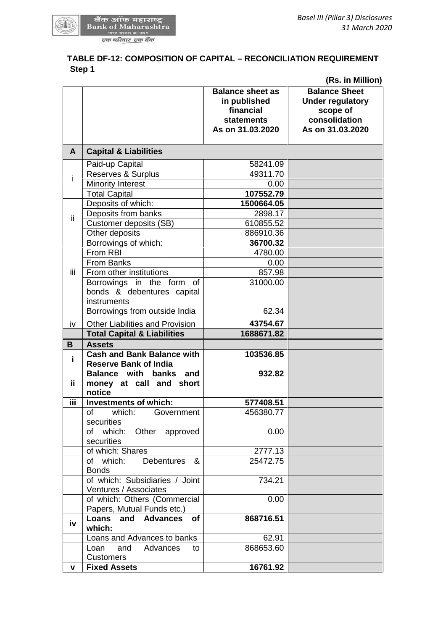

# **TABLE DF-12: COMPOSITION OF CAPITAL – RECONCILIATION REQUIREMENT DF-12: Step 1 Step 1**

|                                                                                 |                                                                           | (Rs. in Million)                                                             |
|---------------------------------------------------------------------------------|---------------------------------------------------------------------------|------------------------------------------------------------------------------|
|                                                                                 | <b>Balance sheet as</b><br>in published<br>financial<br><b>statements</b> | <b>Balance Sheet</b><br><b>Under regulatory</b><br>scope of<br>consolidation |
|                                                                                 | As on 31.03.2020                                                          | As on 31.03.2020                                                             |
| <b>Capital &amp; Liabilities</b><br>A                                           |                                                                           |                                                                              |
| Paid-up Capital                                                                 | 58241.09                                                                  |                                                                              |
| Reserves & Surplus<br>i                                                         | 49311.70                                                                  |                                                                              |
| <b>Minority Interest</b>                                                        | 0.00                                                                      |                                                                              |
| <b>Total Capital</b>                                                            | 107552.79                                                                 |                                                                              |
| Deposits of which:                                                              | 1500664.05                                                                |                                                                              |
| Deposits from banks<br>Ϊİ                                                       | 2898.17                                                                   |                                                                              |
| Customer deposits (SB)                                                          | 610855.52                                                                 |                                                                              |
| Other deposits                                                                  | 886910.36                                                                 |                                                                              |
| Borrowings of which:                                                            | 36700.32                                                                  |                                                                              |
| From RBI                                                                        | 4780.00                                                                   |                                                                              |
| <b>From Banks</b>                                                               | 0.00                                                                      |                                                                              |
| iii<br>From other institutions                                                  | 857.98                                                                    |                                                                              |
| Borrowings in the form of<br>bonds & debentures capital<br>instruments          | 31000.00                                                                  |                                                                              |
| Borrowings from outside India                                                   | 62.34                                                                     |                                                                              |
| <b>Other Liabilities and Provision</b><br>iv                                    | 43754.67                                                                  |                                                                              |
| <b>Total Capital &amp; Liabilities</b>                                          | 1688671.82                                                                |                                                                              |
| <b>Assets</b><br>B                                                              |                                                                           |                                                                              |
| <b>Cash and Bank Balance with</b>                                               | 103536.85                                                                 |                                                                              |
| i<br><b>Reserve Bank of India</b>                                               |                                                                           |                                                                              |
| <b>Balance with</b><br>and<br>banks<br>ii.<br>money at call and short<br>notice | 932.82                                                                    |                                                                              |
| iii<br><b>Investments of which:</b>                                             | 577408.51                                                                 |                                                                              |
| of<br>which:<br>Government<br>securities                                        | 456380.77                                                                 |                                                                              |
| which: Other approved<br>of<br>securities                                       | 0.00                                                                      |                                                                              |
| of which: Shares                                                                | 2777.13                                                                   |                                                                              |
| of which:<br><b>Debentures</b><br>&<br><b>Bonds</b>                             | 25472.75                                                                  |                                                                              |
| of which: Subsidiaries / Joint<br>Ventures / Associates                         | 734.21                                                                    |                                                                              |
| of which: Others (Commercial<br>Papers, Mutual Funds etc.)                      | 0.00                                                                      |                                                                              |
| Loans<br>and Advances<br><b>of</b><br>iv<br>which:                              | 868716.51                                                                 |                                                                              |
| Loans and Advances to banks                                                     | 62.91                                                                     |                                                                              |
| Advances<br>Loan<br>and<br>to<br><b>Customers</b>                               | 868653.60                                                                 |                                                                              |
|                                                                                 | 16761.92                                                                  |                                                                              |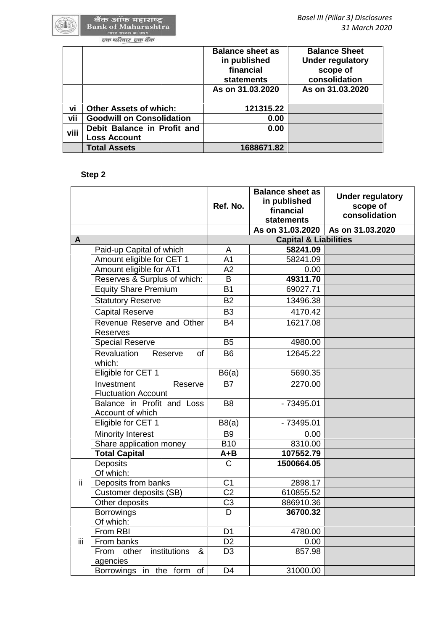|      |                                                    | <b>Balance sheet as</b><br>in published<br>financial<br><b>statements</b> |                                                      | <b>Balance Sheet</b><br><b>Under regulatory</b><br>scope of<br>consolidation |
|------|----------------------------------------------------|---------------------------------------------------------------------------|------------------------------------------------------|------------------------------------------------------------------------------|
|      |                                                    | As on 31.03.2020                                                          |                                                      | As on 31,03,2020                                                             |
| vi   | <b>Other Assets of which:</b>                      |                                                                           | 121315.22                                            |                                                                              |
| vii  | <b>Goodwill on Consolidation</b>                   |                                                                           | 0.00                                                 |                                                                              |
| viii | Debit Balance in Profit and<br><b>Loss Account</b> |                                                                           | 0.00                                                 |                                                                              |
|      | <b>Total Assets</b>                                |                                                                           | 1688671.82                                           |                                                                              |
|      | Step 2                                             |                                                                           |                                                      |                                                                              |
|      |                                                    | Ref. No.                                                                  | <b>Balance sheet as</b><br>in published<br>financial | <b>Under regulatory</b><br>scope of                                          |

# **Step 2**

|     |                                                     | Ref. No.        | <b>Balance sheet as</b><br>in published<br>financial<br><b>statements</b> | <b>Under regulatory</b><br>scope of<br>consolidation |
|-----|-----------------------------------------------------|-----------------|---------------------------------------------------------------------------|------------------------------------------------------|
|     |                                                     |                 | As on 31.03.2020                                                          | As on 31.03.2020                                     |
| A   |                                                     |                 | <b>Capital &amp; Liabilities</b>                                          |                                                      |
|     | Paid-up Capital of which                            | A               | 58241.09                                                                  |                                                      |
|     | Amount eligible for CET 1                           | A <sub>1</sub>  | 58241.09                                                                  |                                                      |
|     | Amount eligible for AT1                             | A2              | 0.00                                                                      |                                                      |
|     | Reserves & Surplus of which:                        | B               | 49311.70                                                                  |                                                      |
|     | <b>Equity Share Premium</b>                         | <b>B1</b>       | 69027.71                                                                  |                                                      |
|     | <b>Statutory Reserve</b>                            | <b>B2</b>       | 13496.38                                                                  |                                                      |
|     | <b>Capital Reserve</b>                              | B <sub>3</sub>  | 4170.42                                                                   |                                                      |
|     | Revenue Reserve and Other<br><b>Reserves</b>        | <b>B4</b>       | 16217.08                                                                  |                                                      |
|     | <b>Special Reserve</b>                              | <b>B5</b>       | 4980.00                                                                   |                                                      |
|     | <b>Revaluation</b><br>Reserve<br>of<br>which:       | <b>B6</b>       | 12645.22                                                                  |                                                      |
|     | Eligible for CET 1                                  | B6(a)           | 5690.35                                                                   |                                                      |
|     | Investment<br>Reserve<br><b>Fluctuation Account</b> | <b>B7</b>       | 2270.00                                                                   |                                                      |
|     | Balance in Profit and Loss<br>Account of which      | B <sub>8</sub>  | $-73495.01$                                                               |                                                      |
|     | Eligible for CET 1                                  | B8(a)           | $-73495.01$                                                               |                                                      |
|     | <b>Minority Interest</b>                            | B <sub>9</sub>  | 0.00                                                                      |                                                      |
|     | Share application money                             | <b>B10</b>      | 8310.00                                                                   |                                                      |
|     | <b>Total Capital</b>                                | $A + B$         | 107552.79                                                                 |                                                      |
|     | Deposits<br>Of which:                               | $\mathsf{C}$    | 1500664.05                                                                |                                                      |
| ii. | Deposits from banks                                 | C <sub>1</sub>  | 2898.17                                                                   |                                                      |
|     | Customer deposits (SB)                              | $\overline{C2}$ | 610855.52                                                                 |                                                      |
|     | Other deposits                                      | C <sub>3</sub>  | 886910.36                                                                 |                                                      |
|     | <b>Borrowings</b><br>Of which:                      | D               | 36700.32                                                                  |                                                      |
|     | From RBI                                            | D <sub>1</sub>  | 4780.00                                                                   |                                                      |
| iii | From banks                                          | D <sub>2</sub>  | 0.00                                                                      |                                                      |
|     | institutions<br>From<br>other<br>&<br>agencies      | D <sub>3</sub>  | 857.98                                                                    |                                                      |
|     | Borrowings in the form of                           | D <sub>4</sub>  | 31000.00                                                                  |                                                      |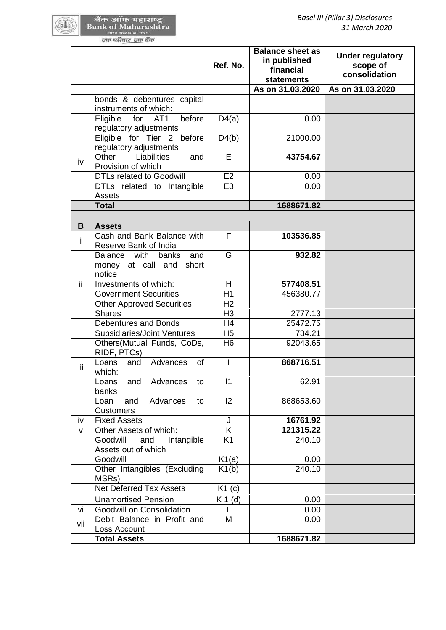|                                                                   | Ref. No.             | <b>Balance sheet as</b><br>in published<br>financial<br><b>statements</b> | <b>Under regulatory</b><br>scope of<br>consolidation |
|-------------------------------------------------------------------|----------------------|---------------------------------------------------------------------------|------------------------------------------------------|
|                                                                   |                      | As on 31.03.2020                                                          | As on 31.03.2020                                     |
| bonds & debentures capital<br>instruments of which:               |                      |                                                                           |                                                      |
| before<br>for AT1<br>Eligible<br>regulatory adjustments           | D4(a)                | 0.00                                                                      |                                                      |
| Eligible for Tier 2 before<br>regulatory adjustments              | D4(b)                | 21000.00                                                                  |                                                      |
| Other<br>Liabilities<br>and<br>iv<br>Provision of which           | E                    | 43754.67                                                                  |                                                      |
| <b>DTLs related to Goodwill</b>                                   | E2                   | 0.00                                                                      |                                                      |
| DTLs related to Intangible<br><b>Assets</b>                       | E <sub>3</sub>       | 0.00                                                                      |                                                      |
| <b>Total</b>                                                      |                      | 1688671.82                                                                |                                                      |
|                                                                   |                      |                                                                           |                                                      |
| <b>Assets</b><br>B                                                |                      |                                                                           |                                                      |
| Cash and Bank Balance with<br>i.<br>Reserve Bank of India         | F                    | 103536.85                                                                 |                                                      |
| Balance with<br>banks<br>and<br>money at call and short<br>notice | G                    | 932.82                                                                    |                                                      |
| ΪÏ<br>Investments of which:                                       | H                    | 577408.51                                                                 |                                                      |
| <b>Government Securities</b>                                      | H1                   | 456380.77                                                                 |                                                      |
| <b>Other Approved Securities</b>                                  | H <sub>2</sub>       |                                                                           |                                                      |
| <b>Shares</b>                                                     | H <sub>3</sub>       | 2777.13                                                                   |                                                      |
| Debentures and Bonds                                              | H <sub>4</sub>       | 25472.75                                                                  |                                                      |
| <b>Subsidiaries/Joint Ventures</b>                                | H <sub>5</sub>       | 734.21                                                                    |                                                      |
| Others(Mutual Funds, CoDs,<br>RIDF, PTCs)                         | H <sub>6</sub>       | 92043.65                                                                  |                                                      |
| Loans<br>Advances<br><b>of</b><br>and<br>iίi<br>which:            | $\mathbf{I}$         | 868716.51                                                                 |                                                      |
| Advances<br>Loans<br>and<br>to<br>banks                           | 11                   | 62.91                                                                     |                                                      |
| Advances<br>and<br>Loan<br>to<br><b>Customers</b>                 | 12                   | 868653.60                                                                 |                                                      |
| <b>Fixed Assets</b><br>iv                                         | J                    | 16761.92                                                                  |                                                      |
| Other Assets of which:<br>v<br>Intangible                         | K.<br>K <sub>1</sub> | 121315.22<br>240.10                                                       |                                                      |
| Goodwill<br>and<br>Assets out of which                            |                      |                                                                           |                                                      |
| Goodwill                                                          | K1(a)                | 0.00                                                                      |                                                      |
| Other Intangibles (Excluding<br>MSRs)                             | K1(b)                | 240.10                                                                    |                                                      |
| <b>Net Deferred Tax Assets</b>                                    | K1(c)                |                                                                           |                                                      |
| <b>Unamortised Pension</b>                                        | $K 1$ (d)            | 0.00                                                                      |                                                      |
| Goodwill on Consolidation<br>vi                                   | L                    | 0.00                                                                      |                                                      |
| Debit Balance in Profit and<br>vii<br>Loss Account                | M                    | 0.00                                                                      |                                                      |
| <b>Total Assets</b>                                               |                      | 1688671.82                                                                |                                                      |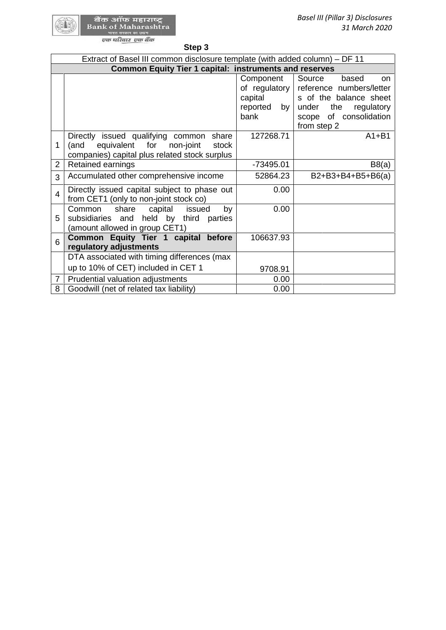| Step 3 |  |
|--------|--|
|--------|--|

|                | Extract of Basel III common disclosure template (with added column) – DF 11                                                                 |                                                             |                                                                                                                                                                      |
|----------------|---------------------------------------------------------------------------------------------------------------------------------------------|-------------------------------------------------------------|----------------------------------------------------------------------------------------------------------------------------------------------------------------------|
|                | <b>Common Equity Tier 1 capital: instruments and reserves</b>                                                                               |                                                             |                                                                                                                                                                      |
|                |                                                                                                                                             | Component<br>capital<br>reported<br>by <sub>1</sub><br>bank | Source<br>based<br>on.<br>of regulatory reference numbers/letter<br>s of the balance sheet<br>the<br>regulatory<br>under<br>of consolidation<br>scope<br>from step 2 |
| 1              | Directly issued qualifying common<br>share<br>equivalent for<br>non-joint<br>(and<br>stock<br>companies) capital plus related stock surplus | 127268.71                                                   | $A1 + B1$                                                                                                                                                            |
| $\overline{2}$ | Retained earnings                                                                                                                           | -73495.01                                                   | B8(a)                                                                                                                                                                |
| 3              | Accumulated other comprehensive income                                                                                                      | 52864.23                                                    | B2+B3+B4+B5+B6(a)                                                                                                                                                    |
| $\overline{4}$ | Directly issued capital subject to phase out<br>from CET1 (only to non-joint stock co)                                                      | 0.00                                                        |                                                                                                                                                                      |
| 5              | share<br>capital<br>Common<br>issued<br>by<br>held by third parties<br>subsidiaries and<br>(amount allowed in group CET1)                   | 0.00                                                        |                                                                                                                                                                      |
| 6              | Common Equity Tier 1 capital<br>before<br>regulatory adjustments                                                                            | 106637.93                                                   |                                                                                                                                                                      |
|                | DTA associated with timing differences (max                                                                                                 |                                                             |                                                                                                                                                                      |
|                | up to 10% of CET) included in CET 1                                                                                                         | 9708.91                                                     |                                                                                                                                                                      |
| $\overline{7}$ | Prudential valuation adjustments                                                                                                            | 0.00                                                        |                                                                                                                                                                      |
| 8              | Goodwill (net of related tax liability)                                                                                                     | 0.00                                                        |                                                                                                                                                                      |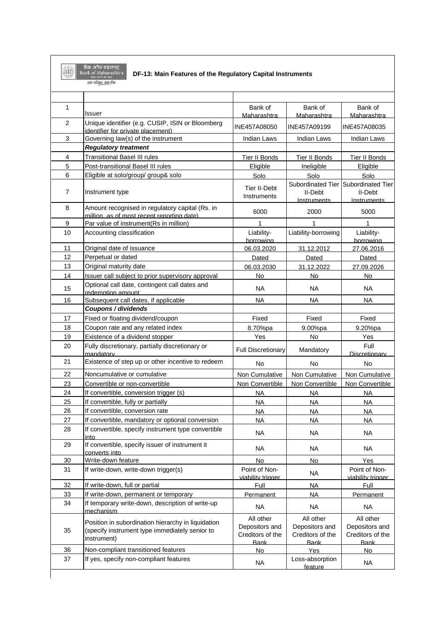**Expedition of Start** Strain and Strain Strain Strain Strain Strain Strain Strain Strain Strain Strain Strain Strain Strain Strain Strain Strain Strain Strain Strain Strain Strain Strain Strain Strain Strain Strain Strain

### **DF-13: Main Features of the Regulatory Capital Instruments**

| $\mathbf{1}$   | Issuer                                                                                                              | Bank of<br>Maharashtra                                         | Bank of<br>Maharashtra                                         | Bank of<br>Maharashtra                                         |
|----------------|---------------------------------------------------------------------------------------------------------------------|----------------------------------------------------------------|----------------------------------------------------------------|----------------------------------------------------------------|
| 2              | Unique identifier (e.g. CUSIP, ISIN or Bloomberg<br>identifier for private placement)                               | INE457A08050                                                   | INE457A09199                                                   | INE457A08035                                                   |
| $\mathsf 3$    | Governing law(s) of the instrument                                                                                  | <b>Indian Laws</b>                                             | <b>Indian Laws</b>                                             | <b>Indian Laws</b>                                             |
|                | <b>Regulatory treatment</b>                                                                                         |                                                                |                                                                |                                                                |
| 4              | <b>Transitional Basel III rules</b>                                                                                 | Tier II Bonds                                                  | <b>Tier II Bonds</b>                                           | Tier II Bonds                                                  |
| 5              | Post-transitional Basel III rules                                                                                   | Eligible                                                       | Ineligible                                                     | Eligible                                                       |
| 6              | Eligible at solo/group/ group& solo                                                                                 | Solo                                                           | Solo                                                           | Solo                                                           |
| $\overline{7}$ | Instrument type                                                                                                     | <b>Tier II-Debt</b><br>Instruments                             | Subordinated Tier<br>II-Debt<br>Instruments                    | Subordinated Tier<br>II-Debt<br>Instruments                    |
| 8              | Amount recognised in regulatory capital (Rs. in<br>million, as of most recent reporting date)                       | 6000                                                           | 2000                                                           | 5000                                                           |
| 9              | Par value of instrument(Rs in million)                                                                              | 1                                                              | 1                                                              | 1                                                              |
| 10             | Accounting classification                                                                                           | Liability-<br>borrowing                                        | Liability-borrowing                                            | Liability-<br>borrowing                                        |
| 11             | Original date of issuance                                                                                           | 06.03.2020                                                     | 31.12.2012                                                     | 27.06.2016                                                     |
| 12             | Perpetual or dated                                                                                                  | Dated                                                          | Dated                                                          | Dated                                                          |
| 13             | Original maturity date                                                                                              | 06.03.2030                                                     | 31.12.2022                                                     | 27.09.2026                                                     |
| 14             | Issuer call subject to prior supervisory approval                                                                   | No                                                             | No                                                             | <b>No</b>                                                      |
| 15             | Optional call date, contingent call dates and<br>redemption amount                                                  | <b>NA</b>                                                      | <b>NA</b>                                                      | NA.                                                            |
| 16             | Subsequent call dates, if applicable                                                                                | <b>NA</b>                                                      | <b>NA</b>                                                      | <b>NA</b>                                                      |
|                | Coupons / dividends                                                                                                 |                                                                |                                                                |                                                                |
| 17             | Fixed or floating dividend/coupon                                                                                   | Fixed                                                          | Fixed                                                          | Fixed                                                          |
| 18             | Coupon rate and any related index                                                                                   | 8.70%pa                                                        | 9.00%pa                                                        | 9.20%pa                                                        |
| 19             | Existence of a dividend stopper                                                                                     | Yes                                                            | No                                                             | Yes                                                            |
| 20             | Fully discretionary, partially discretionary or<br>mandatory                                                        | <b>Full Discretionary</b>                                      | Mandatory                                                      | Full<br>Discretionary                                          |
| 21             | Existence of step up or other incentive to redeem                                                                   | No                                                             | No                                                             | <b>No</b>                                                      |
| 22             | Noncumulative or cumulative                                                                                         | Non Cumulative                                                 | Non Cumulative                                                 | Non Cumulative                                                 |
| 23             | Convertible or non-convertible                                                                                      | Non Convertible                                                | Non Convertible                                                | Non Convertible                                                |
| 24             | If convertible, conversion trigger (s)                                                                              | <b>NA</b>                                                      | <b>NA</b>                                                      | <b>NA</b>                                                      |
| 25             | If convertible, fully or partially                                                                                  | <b>NA</b>                                                      | <b>NA</b>                                                      | <b>NA</b>                                                      |
| 26             | If convertible, conversion rate                                                                                     | <b>NA</b>                                                      | <b>NA</b>                                                      | <b>NA</b>                                                      |
| 27             | If convertible, mandatory or optional conversion                                                                    | NA                                                             | <b>NA</b>                                                      | <b>NA</b>                                                      |
| 28             | If convertible, specify instrument type convertible<br>into.                                                        | <b>NA</b>                                                      | NA                                                             | <b>NA</b>                                                      |
| 29             | If convertible, specify issuer of instrument it<br>converts into                                                    | <b>NA</b>                                                      | <b>NA</b>                                                      | <b>NA</b>                                                      |
| 30             | Write-down feature                                                                                                  | No                                                             | No                                                             | Yes                                                            |
| 31             | If write-down, write-down trigger(s)                                                                                | Point of Non-<br>viability trigger                             | <b>NA</b>                                                      | Point of Non-<br>viability trigger                             |
| 32             | If write-down, full or partial                                                                                      | Full                                                           | <b>NA</b>                                                      | Full                                                           |
| 33             | If write-down, permanent or temporary                                                                               | Permanent                                                      | <b>NA</b>                                                      | Permanent                                                      |
| 34             | If temporary write-down, description of write-up<br>mechanism                                                       | <b>NA</b>                                                      | <b>NA</b>                                                      | <b>NA</b>                                                      |
| 35             | Position in subordination hierarchy in liquidation<br>(specify instrument type immediately senior to<br>instrument) | All other<br>Depositors and<br>Creditors of the<br><b>Bank</b> | All other<br>Depositors and<br>Creditors of the<br><b>Bank</b> | All other<br>Depositors and<br>Creditors of the<br><b>Bank</b> |
| 36             | Non-compliant transitioned features                                                                                 | No                                                             | Yes                                                            | No                                                             |
| 37             | If yes, specify non-compliant features                                                                              | <b>NA</b>                                                      | Loss-absorption<br>feature                                     | <b>NA</b>                                                      |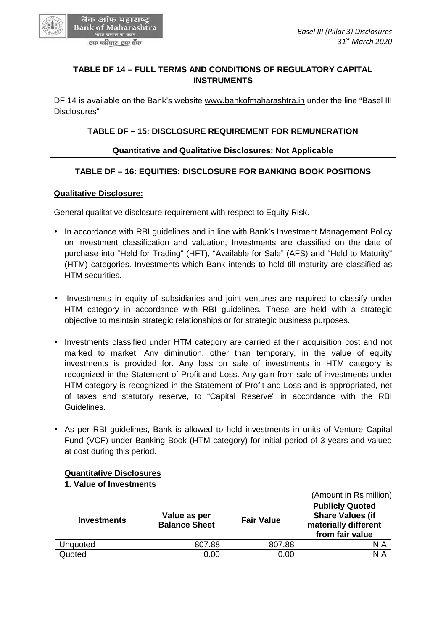# **TABLE DF 14 – FULL TERMS AND CONDITIONS OF REGULATORY CAPITAL INSTRUMENTS**

DF 14 is available on the Bank's website www.bankofmaharashtra.in under the line "Basel III Disclosures" TABLE DF 14 – FULL TERMS AND CONDITIONS OF REGULATORY CAPITAL<br>INSTRUMENTS<br>4 is available on the Bank's website <u>www.bankofmaharashtra.in</u> under the line "Ba<br>psures"<br>TABLE DF – 15: DISCLOSURE REQUIREMENT FOR REMUNERATION<br>Qu

# **TABLE DF – 15: DISCLOSURE REQUIREMENT FOR REMUNERATION**

## **Quantitative and Qualitative Disclosures: Not Applicable**

# **TABLE DF – 16: EQUITIES: DISCLOSURE FOR BANKING BOOK POSITIONS**

### **Qualitative Disclosure:**

General qualitative disclosure requirement with respect to Equity Risk.

- In accordance with RBI guidelines and in line with Bank's Investment Management Policy on investment classification and valuation, Investments are classified on the date of purchase into "Held for Trading" (HFT), "Available for Sale" (AFS) and "Held to Maturity" (HTM) categories. Investments which Bank intends to hold till maturity are classified as HTM securities. In accordance with RBI guidelines and in line with Bank's Investment Management Policy<br>on investment classification and valuation, Investments are classified on the date of<br>purchase into "Held for Trading" (HFT), "Availabl
- Investments in equity of subsidiaries and joint ventures are required to classify under HTM category in accordance with RBI guidelines. These are held with a strategic objective to maintain strategic relationships or for strategic business purposes.
- Investments classified under HTM category are carried at their acquisition cost and not • Investments classified under HTM category are carried at their acquisition cost and not<br>marked to market. Any diminution, other than temporary, in the value of equity investments is provided for. Any loss on sale of investments in HTM category is recognized in the Statement of Profit and Loss. Any gain from sale of investments under HTM category is recognized in the Statement of Profit and Loss and is appropriated, net investments is provided for. Any loss on sale of investments in HTM category is<br>recognized in the Statement of Profit and Loss. Any gain from sale of investments under<br>HTM category is recognized in the Statement of Profit Guidelines. In strategic relationships or for strategic business purposes.<br>
Led under HTM category are carried at their acquisition computed.<br>
Led the HTM category are carried at their acquisition computed for. Any loss on sale of inv
- As per RBI guidelines, Bank is allowed to hold investments in units of Venture Capital Fund (VCF) under Banking Book (HTM category) for initial period of 3 years and valued at cost during this period. • As per RBI guidelines, Bank is allowed to hold investments in units of Fund (VCF) under Banking Book (HTM category) for initial period of 3 y at cost during this period.

## **Quantitative Disclosures**

## **1. Value of Investments 1. Value**

|                    |                                      |                   | $\sqrt{2}$                                                                                   |
|--------------------|--------------------------------------|-------------------|----------------------------------------------------------------------------------------------|
| <b>Investments</b> | Value as per<br><b>Balance Sheet</b> | <b>Fair Value</b> | <b>Publicly Quoted</b><br><b>Share Values (if</b><br>materially different<br>from fair value |
| Unquoted           | 807.88                               | 807.88            | N.A                                                                                          |
| Quoted             | 0.00                                 | 0.00              | N.A                                                                                          |



एक परिवार एक बैंक

(Amount in Rs million)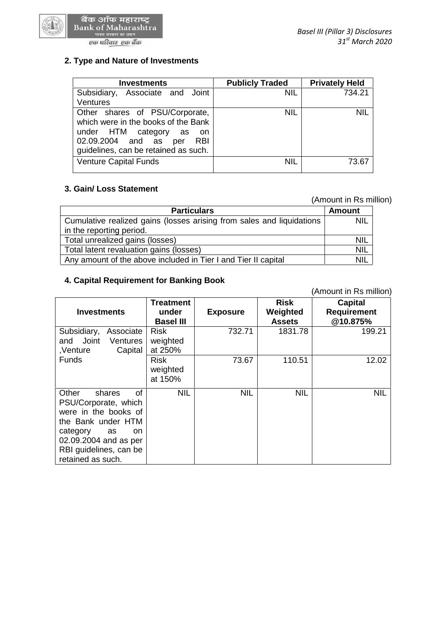

| <b>Investments</b>                                                                                                                                                                          | <b>Publicly Traded</b> | <b>Privately Held</b> |
|---------------------------------------------------------------------------------------------------------------------------------------------------------------------------------------------|------------------------|-----------------------|
| Associate and Joint<br>Subsidiary,<br><b>Ventures</b>                                                                                                                                       | <b>NIL</b>             | 734.21                |
| Other shares of PSU/Corporate,<br>which were in the books of the Bank<br>under HTM category<br>as<br>- on<br>02.09.2004 and as<br><b>RBI</b><br>per<br>guidelines, can be retained as such. | <b>NIL</b>             | <b>NIL</b>            |
| <b>Venture Capital Funds</b>                                                                                                                                                                | <b>NIL</b>             | 73.67                 |

# **3. Gain/ Loss Statement 3.**

(Amount in Rs million)

|                                                                       | (Amount in Rs million) |  |
|-----------------------------------------------------------------------|------------------------|--|
| <b>Particulars</b>                                                    | <b>Amount</b>          |  |
| Cumulative realized gains (losses arising from sales and liquidations | <b>NIL</b>             |  |
| in the reporting period.                                              |                        |  |
| Total unrealized gains (losses)                                       | <b>NIL</b>             |  |
| Total latent revaluation gains (losses)                               | <b>NIL</b>             |  |
| Any amount of the above included in Tier I and Tier II capital        | <b>NIL</b>             |  |

### **4. Capital Requirement for Banking Book 4. Capital Requirement**

| Cumulative realized gains (losses arising from sales and liquidations |                  | NIL             |               |                        |
|-----------------------------------------------------------------------|------------------|-----------------|---------------|------------------------|
| in the reporting period.                                              |                  |                 |               |                        |
| Total unrealized gains (losses)                                       | NIL              |                 |               |                        |
| Total latent revaluation gains (losses)                               |                  |                 |               | NIL                    |
| Any amount of the above included in Tier I and Tier II capital        |                  |                 |               | <b>NIL</b>             |
|                                                                       |                  |                 |               |                        |
| 4. Capital Requirement for Banking Book                               |                  |                 |               |                        |
|                                                                       |                  |                 |               | (Amount in Rs million) |
|                                                                       |                  |                 |               |                        |
|                                                                       | <b>Treatment</b> |                 | <b>Risk</b>   | <b>Capital</b>         |
| <b>Investments</b>                                                    | under            | <b>Exposure</b> | Weighted      | <b>Requirement</b>     |
|                                                                       | <b>Basel III</b> |                 | <b>Assets</b> | @10.875%               |
| Subsidiary,<br>Associate                                              | <b>Risk</b>      | 732.71          | 1831.78       | 199.21                 |
| Joint<br>and<br>Ventures                                              | weighted         |                 |               |                        |
| Capital<br>,Venture                                                   | at 250%          |                 |               |                        |
| <b>Funds</b>                                                          | <b>Risk</b>      | 73.67           | 110.51        | 12.02                  |
|                                                                       | weighted         |                 |               |                        |
|                                                                       | at 150%          |                 |               |                        |
| Other<br>Ωf<br>shares                                                 | <b>NIL</b>       | <b>NIL</b>      | <b>NIL</b>    | <b>NIL</b>             |
| PSU/Corporate, which                                                  |                  |                 |               |                        |
| were in the books of                                                  |                  |                 |               |                        |
| the Bank under HTM                                                    |                  |                 |               |                        |
|                                                                       |                  |                 |               |                        |
| category<br>as<br>on                                                  |                  |                 |               |                        |
| 02.09.2004 and as per                                                 |                  |                 |               |                        |
| RBI guidelines, can be                                                |                  |                 |               |                        |
| retained as such.                                                     |                  |                 |               |                        |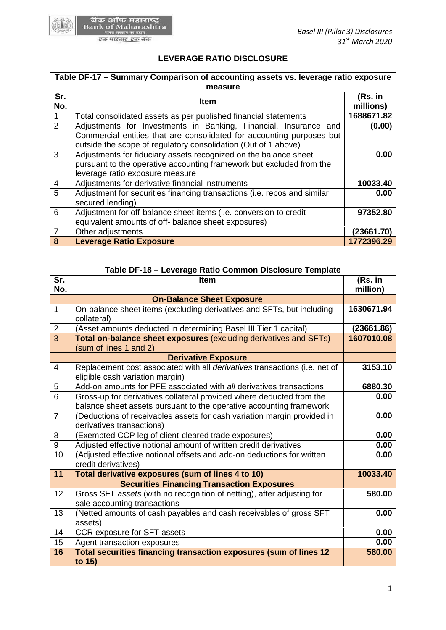

# **LEVERAGE RATIO DISCLOSURE**

|                | Table DF-17 - Summary Comparison of accounting assets vs. leverage ratio exposure                                                                                                                           |                      |  |
|----------------|-------------------------------------------------------------------------------------------------------------------------------------------------------------------------------------------------------------|----------------------|--|
| Sr.<br>No.     | measure<br><b>Item</b>                                                                                                                                                                                      | (Rs. in<br>millions) |  |
|                | Total consolidated assets as per published financial statements                                                                                                                                             | 1688671.82           |  |
| 2              | Adjustments for Investments in Banking, Financial, Insurance and<br>Commercial entities that are consolidated for accounting purposes but<br>outside the scope of regulatory consolidation (Out of 1 above) | (0.00)               |  |
| 3              | Adjustments for fiduciary assets recognized on the balance sheet<br>pursuant to the operative accounting framework but excluded from the<br>leverage ratio exposure measure                                 | 0.00                 |  |
| 4              | Adjustments for derivative financial instruments                                                                                                                                                            | 10033.40             |  |
| 5              | Adjustment for securities financing transactions (i.e. repos and similar<br>secured lending)                                                                                                                | 0.00                 |  |
| 6              | Adjustment for off-balance sheet items (i.e. conversion to credit<br>equivalent amounts of off- balance sheet exposures)                                                                                    | 97352.80             |  |
| $\overline{7}$ | Other adjustments                                                                                                                                                                                           | (23661.70)           |  |
| 8              | <b>Leverage Ratio Exposure</b>                                                                                                                                                                              | 1772396.29           |  |

| 6              | Adjustment for off-balance sheet items (i.e. conversion to credit                                                                           | 97352.80            |
|----------------|---------------------------------------------------------------------------------------------------------------------------------------------|---------------------|
|                | equivalent amounts of off- balance sheet exposures)                                                                                         |                     |
| $\overline{7}$ | Other adjustments                                                                                                                           | (23661.70)          |
| 8              | Leverage Ratio Exposure                                                                                                                     | 1772396.29          |
|                |                                                                                                                                             |                     |
|                | Table DF-18 - Leverage Ratio Common Disclosure Template                                                                                     |                     |
| Sr.<br>No.     | <b>Item</b>                                                                                                                                 | (Rs. in<br>million) |
|                | <b>On-Balance Sheet Exposure</b>                                                                                                            |                     |
| $\mathbf{1}$   | On-balance sheet items (excluding derivatives and SFTs, but including<br>collateral)                                                        | 1630671.94          |
| $\overline{2}$ | (Asset amounts deducted in determining Basel III Tier 1 capital)                                                                            | (23661.86)          |
| $\overline{3}$ | Total on-balance sheet exposures (excluding derivatives and SFTs)<br>(sum of lines 1 and 2)                                                 | 1607010.08          |
|                | <b>Derivative Exposure</b>                                                                                                                  |                     |
| 4              | Replacement cost associated with all derivatives transactions (i.e. net of<br>eligible cash variation margin)                               | 3153.10             |
| 5              | Add-on amounts for PFE associated with all derivatives transactions                                                                         | 6880.30             |
| 6              | Gross-up for derivatives collateral provided where deducted from the<br>balance sheet assets pursuant to the operative accounting framework | 0.00                |
| $\overline{7}$ | (Deductions of receivables assets for cash variation margin provided in<br>derivatives transactions)                                        | 0.00                |
| 8              | (Exempted CCP leg of client-cleared trade exposures)                                                                                        | 0.00                |
| 9              | Adjusted effective notional amount of written credit derivatives                                                                            | 0.00                |
| 10             | (Adjusted effective notional offsets and add-on deductions for written<br>credit derivatives)                                               | 0.00                |
| 11             | Total derivative exposures (sum of lines 4 to 10)                                                                                           | 10033.40            |
|                | <b>Securities Financing Transaction Exposures</b>                                                                                           |                     |
| 12             | Gross SFT assets (with no recognition of netting), after adjusting for<br>sale accounting transactions                                      | 580.00              |
| 13             | (Netted amounts of cash payables and cash receivables of gross SFT<br>assets)                                                               | 0.00                |
| 14             | CCR exposure for SFT assets                                                                                                                 | 0.00                |
| 15             | Agent transaction exposures                                                                                                                 | 0.00                |
| 16             | Total securities financing transaction exposures (sum of lines 12<br>to 15)                                                                 | 580.00              |